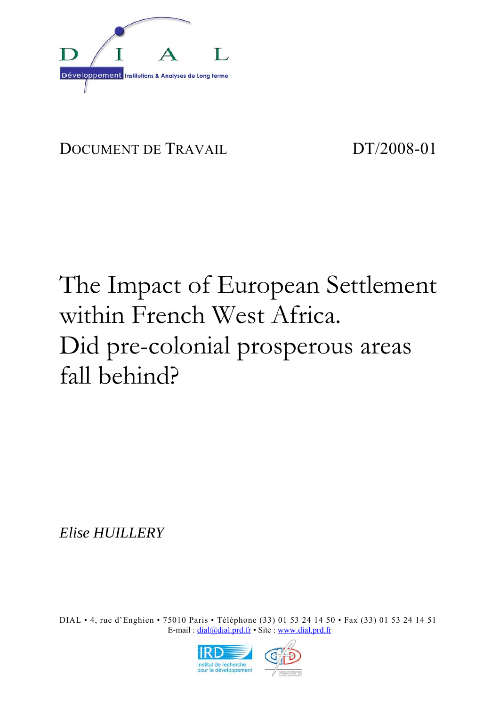

# DOCUMENT DE TRAVAIL DT/2008-01

# The Impact of European Settlement within French West Africa. Did pre-colonial prosperous areas fall behind?

*Elise HUILLERY* 

DIAL • 4, rue d'Enghien • 75010 Paris • Téléphone (33) 01 53 24 14 50 • Fax (33) 01 53 24 14 51 E-mail:  $diab\omega$ dial.prd.fr • Site : www.dial.prd.fr

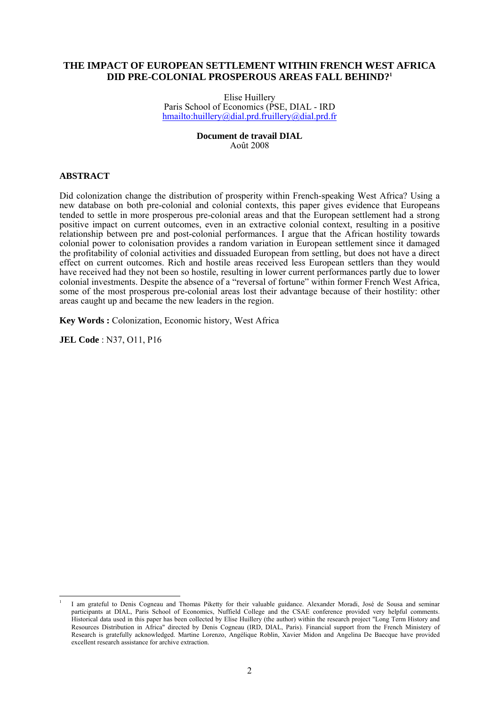#### **THE IMPACT OF EUROPEAN SETTLEMENT WITHIN FRENCH WEST AFRICA DID PRE-COLONIAL PROSPEROUS AREAS FALL BEHIND?1**

Elise Huillery Paris School of Economics (PSE, DIAL - IRD hmailto:huillery@dial.prd.fruillery@dial.prd.fr

> **Document de travail DIAL**  Août 2008

#### **ABSTRACT**

Did colonization change the distribution of prosperity within French-speaking West Africa? Using a new database on both pre-colonial and colonial contexts, this paper gives evidence that Europeans tended to settle in more prosperous pre-colonial areas and that the European settlement had a strong positive impact on current outcomes, even in an extractive colonial context, resulting in a positive relationship between pre and post-colonial performances. I argue that the African hostility towards colonial power to colonisation provides a random variation in European settlement since it damaged the profitability of colonial activities and dissuaded European from settling, but does not have a direct effect on current outcomes. Rich and hostile areas received less European settlers than they would have received had they not been so hostile, resulting in lower current performances partly due to lower colonial investments. Despite the absence of a "reversal of fortune" within former French West Africa, some of the most prosperous pre-colonial areas lost their advantage because of their hostility: other areas caught up and became the new leaders in the region.

**Key Words :** Colonization, Economic history, West Africa

**JEL Code** : N37, O11, P16

 $\overline{a}$ 

<sup>1</sup> I am grateful to Denis Cogneau and Thomas Piketty for their valuable guidance. Alexander Moradi, José de Sousa and seminar participants at DIAL, Paris School of Economics, Nuffield College and the CSAE conference provided very helpful comments. Historical data used in this paper has been collected by Elise Huillery (the author) within the research project "Long Term History and Resources Distribution in Africa" directed by Denis Cogneau (IRD, DIAL, Paris). Financial support from the French Ministery of Research is gratefully acknowledged. Martine Lorenzo, Angélique Roblin, Xavier Midon and Angelina De Baecque have provided excellent research assistance for archive extraction.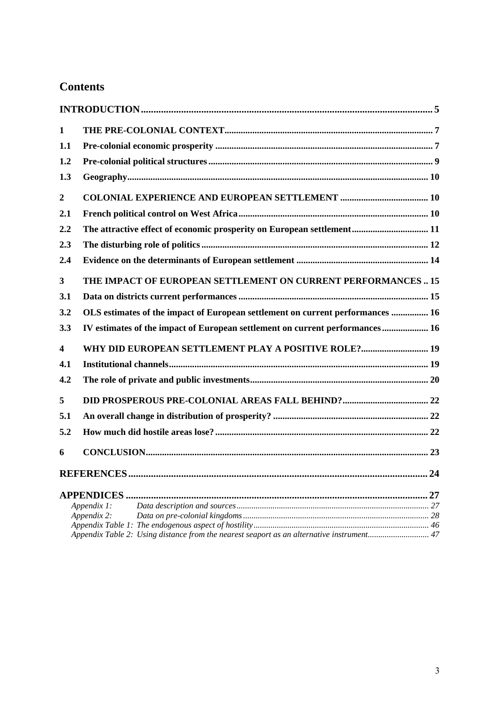# **Contents**

| 1                       |                                                                                           |  |
|-------------------------|-------------------------------------------------------------------------------------------|--|
| 1.1                     |                                                                                           |  |
| 1.2                     |                                                                                           |  |
| 1.3                     |                                                                                           |  |
| $\boldsymbol{2}$        |                                                                                           |  |
| 2.1                     |                                                                                           |  |
| 2.2                     | The attractive effect of economic prosperity on European settlement 11                    |  |
| 2.3                     |                                                                                           |  |
| 2.4                     |                                                                                           |  |
| 3                       | THE IMPACT OF EUROPEAN SETTLEMENT ON CURRENT PERFORMANCES 15                              |  |
| 3.1                     |                                                                                           |  |
| 3.2                     | OLS estimates of the impact of European settlement on current performances  16            |  |
| 3.3                     | IV estimates of the impact of European settlement on current performances 16              |  |
| $\overline{\mathbf{4}}$ | WHY DID EUROPEAN SETTLEMENT PLAY A POSITIVE ROLE? 19                                      |  |
| 4.1                     |                                                                                           |  |
| 4.2                     |                                                                                           |  |
| 5                       |                                                                                           |  |
| 5.1                     |                                                                                           |  |
| 5.2                     |                                                                                           |  |
| 6                       |                                                                                           |  |
|                         |                                                                                           |  |
|                         |                                                                                           |  |
|                         | Appendix 1:                                                                               |  |
|                         | Appendix 2:                                                                               |  |
|                         | Appendix Table 2: Using distance from the nearest seaport as an alternative instrument 47 |  |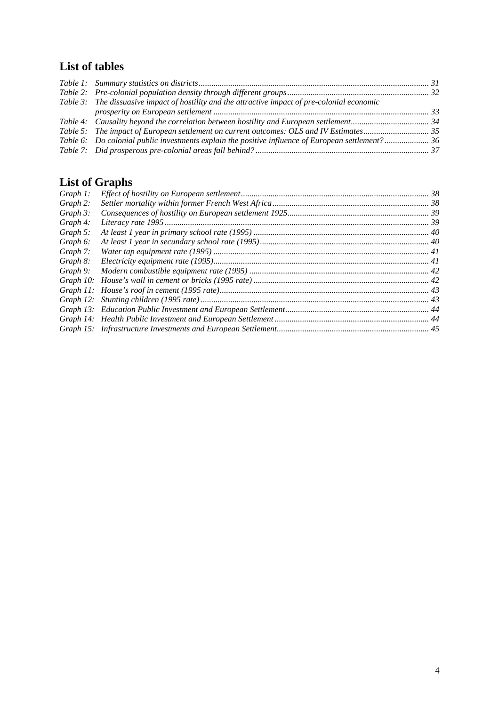# **List of tables**

| Table 3: The dissuasive impact of hostility and the attractive impact of pre-colonial economic     |  |
|----------------------------------------------------------------------------------------------------|--|
|                                                                                                    |  |
|                                                                                                    |  |
|                                                                                                    |  |
| Table 6: Do colonial public investments explain the positive influence of European settlement?  36 |  |
|                                                                                                    |  |

# **List of Graphs**

| Graph 1: |  |
|----------|--|
| Graph 2: |  |
| Graph 3: |  |
| Graph 4: |  |
| Graph 5: |  |
| Graph 6: |  |
| Graph 7: |  |
| Graph 8: |  |
| Graph 9: |  |
|          |  |
|          |  |
|          |  |
|          |  |
|          |  |
|          |  |
|          |  |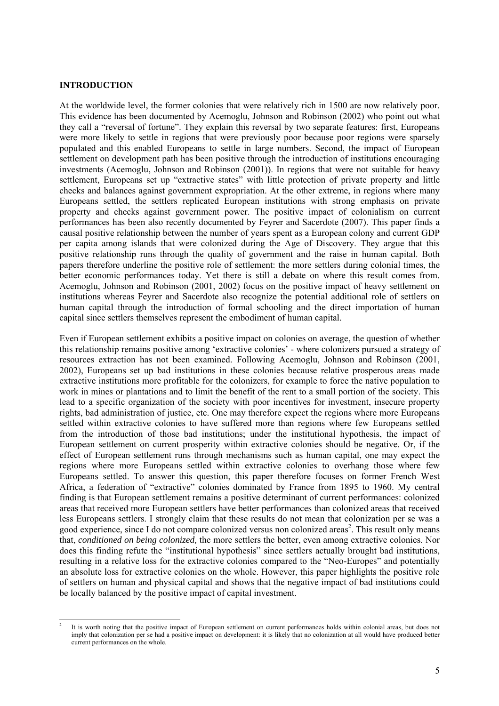#### **INTRODUCTION**

At the worldwide level, the former colonies that were relatively rich in 1500 are now relatively poor. This evidence has been documented by Acemoglu, Johnson and Robinson (2002) who point out what they call a "reversal of fortune". They explain this reversal by two separate features: first, Europeans were more likely to settle in regions that were previously poor because poor regions were sparsely populated and this enabled Europeans to settle in large numbers. Second, the impact of European settlement on development path has been positive through the introduction of institutions encouraging investments (Acemoglu, Johnson and Robinson (2001)). In regions that were not suitable for heavy settlement, Europeans set up "extractive states" with little protection of private property and little checks and balances against government expropriation. At the other extreme, in regions where many Europeans settled, the settlers replicated European institutions with strong emphasis on private property and checks against government power. The positive impact of colonialism on current performances has been also recently documented by Feyrer and Sacerdote (2007). This paper finds a causal positive relationship between the number of years spent as a European colony and current GDP per capita among islands that were colonized during the Age of Discovery. They argue that this positive relationship runs through the quality of government and the raise in human capital. Both papers therefore underline the positive role of settlement: the more settlers during colonial times, the better economic performances today. Yet there is still a debate on where this result comes from. Acemoglu, Johnson and Robinson (2001, 2002) focus on the positive impact of heavy settlement on institutions whereas Feyrer and Sacerdote also recognize the potential additional role of settlers on human capital through the introduction of formal schooling and the direct importation of human capital since settlers themselves represent the embodiment of human capital.

Even if European settlement exhibits a positive impact on colonies on average, the question of whether this relationship remains positive among 'extractive colonies' - where colonizers pursued a strategy of resources extraction has not been examined. Following Acemoglu, Johnson and Robinson (2001, 2002), Europeans set up bad institutions in these colonies because relative prosperous areas made extractive institutions more profitable for the colonizers, for example to force the native population to work in mines or plantations and to limit the benefit of the rent to a small portion of the society. This lead to a specific organization of the society with poor incentives for investment, insecure property rights, bad administration of justice, etc. One may therefore expect the regions where more Europeans settled within extractive colonies to have suffered more than regions where few Europeans settled from the introduction of those bad institutions; under the institutional hypothesis, the impact of European settlement on current prosperity within extractive colonies should be negative. Or, if the effect of European settlement runs through mechanisms such as human capital, one may expect the regions where more Europeans settled within extractive colonies to overhang those where few Europeans settled. To answer this question, this paper therefore focuses on former French West Africa, a federation of "extractive" colonies dominated by France from 1895 to 1960. My central finding is that European settlement remains a positive determinant of current performances: colonized areas that received more European settlers have better performances than colonized areas that received less Europeans settlers. I strongly claim that these results do not mean that colonization per se was a good experience, since I do not compare colonized versus non colonized areas<sup>2</sup>. This result only means that, *conditioned on being colonized,* the more settlers the better, even among extractive colonies. Nor does this finding refute the "institutional hypothesis" since settlers actually brought bad institutions, resulting in a relative loss for the extractive colonies compared to the "Neo-Europes" and potentially an absolute loss for extractive colonies on the whole. However, this paper highlights the positive role of settlers on human and physical capital and shows that the negative impact of bad institutions could be locally balanced by the positive impact of capital investment.

l 2 It is worth noting that the positive impact of European settlement on current performances holds within colonial areas, but does not imply that colonization per se had a positive impact on development: it is likely that no colonization at all would have produced better current performances on the whole.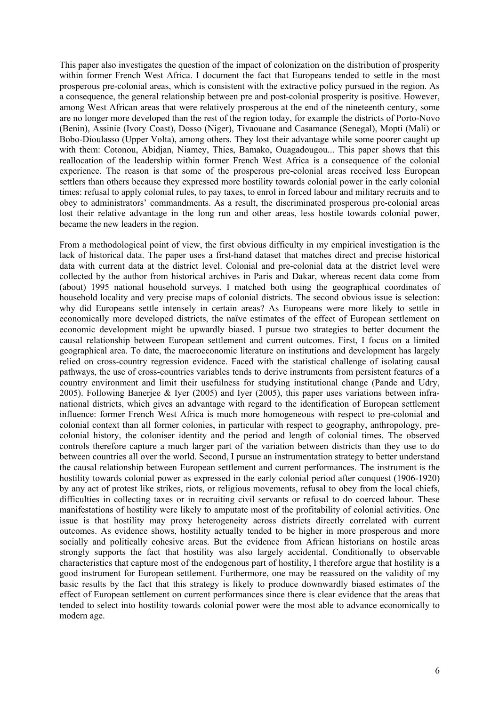This paper also investigates the question of the impact of colonization on the distribution of prosperity within former French West Africa. I document the fact that Europeans tended to settle in the most prosperous pre-colonial areas, which is consistent with the extractive policy pursued in the region. As a consequence, the general relationship between pre and post-colonial prosperity is positive. However, among West African areas that were relatively prosperous at the end of the nineteenth century, some are no longer more developed than the rest of the region today, for example the districts of Porto-Novo (Benin), Assinie (Ivory Coast), Dosso (Niger), Tivaouane and Casamance (Senegal), Mopti (Mali) or Bobo-Dioulasso (Upper Volta), among others. They lost their advantage while some poorer caught up with them: Cotonou, Abidjan, Niamey, Thies, Bamako, Ouagadougou... This paper shows that this reallocation of the leadership within former French West Africa is a consequence of the colonial experience. The reason is that some of the prosperous pre-colonial areas received less European settlers than others because they expressed more hostility towards colonial power in the early colonial times: refusal to apply colonial rules, to pay taxes, to enrol in forced labour and military recruits and to obey to administrators' commandments. As a result, the discriminated prosperous pre-colonial areas lost their relative advantage in the long run and other areas, less hostile towards colonial power, became the new leaders in the region.

From a methodological point of view, the first obvious difficulty in my empirical investigation is the lack of historical data. The paper uses a first-hand dataset that matches direct and precise historical data with current data at the district level. Colonial and pre-colonial data at the district level were collected by the author from historical archives in Paris and Dakar, whereas recent data come from (about) 1995 national household surveys. I matched both using the geographical coordinates of household locality and very precise maps of colonial districts. The second obvious issue is selection: why did Europeans settle intensely in certain areas? As Europeans were more likely to settle in economically more developed districts, the naïve estimates of the effect of European settlement on economic development might be upwardly biased. I pursue two strategies to better document the causal relationship between European settlement and current outcomes. First, I focus on a limited geographical area. To date, the macroeconomic literature on institutions and development has largely relied on cross-country regression evidence. Faced with the statistical challenge of isolating causal pathways, the use of cross-countries variables tends to derive instruments from persistent features of a country environment and limit their usefulness for studying institutional change (Pande and Udry, 2005). Following Banerjee & Iyer (2005) and Iyer (2005), this paper uses variations between infranational districts, which gives an advantage with regard to the identification of European settlement influence: former French West Africa is much more homogeneous with respect to pre-colonial and colonial context than all former colonies, in particular with respect to geography, anthropology, precolonial history, the coloniser identity and the period and length of colonial times. The observed controls therefore capture a much larger part of the variation between districts than they use to do between countries all over the world. Second, I pursue an instrumentation strategy to better understand the causal relationship between European settlement and current performances. The instrument is the hostility towards colonial power as expressed in the early colonial period after conquest (1906-1920) by any act of protest like strikes, riots, or religious movements, refusal to obey from the local chiefs, difficulties in collecting taxes or in recruiting civil servants or refusal to do coerced labour. These manifestations of hostility were likely to amputate most of the profitability of colonial activities. One issue is that hostility may proxy heterogeneity across districts directly correlated with current outcomes. As evidence shows, hostility actually tended to be higher in more prosperous and more socially and politically cohesive areas. But the evidence from African historians on hostile areas strongly supports the fact that hostility was also largely accidental. Conditionally to observable characteristics that capture most of the endogenous part of hostility, I therefore argue that hostility is a good instrument for European settlement. Furthermore, one may be reassured on the validity of my basic results by the fact that this strategy is likely to produce downwardly biased estimates of the effect of European settlement on current performances since there is clear evidence that the areas that tended to select into hostility towards colonial power were the most able to advance economically to modern age.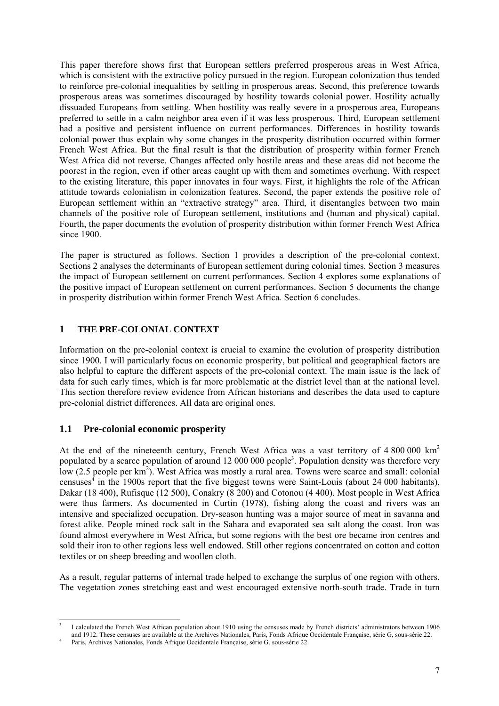This paper therefore shows first that European settlers preferred prosperous areas in West Africa, which is consistent with the extractive policy pursued in the region. European colonization thus tended to reinforce pre-colonial inequalities by settling in prosperous areas. Second, this preference towards prosperous areas was sometimes discouraged by hostility towards colonial power. Hostility actually dissuaded Europeans from settling. When hostility was really severe in a prosperous area, Europeans preferred to settle in a calm neighbor area even if it was less prosperous. Third, European settlement had a positive and persistent influence on current performances. Differences in hostility towards colonial power thus explain why some changes in the prosperity distribution occurred within former French West Africa. But the final result is that the distribution of prosperity within former French West Africa did not reverse. Changes affected only hostile areas and these areas did not become the poorest in the region, even if other areas caught up with them and sometimes overhung. With respect to the existing literature, this paper innovates in four ways. First, it highlights the role of the African attitude towards colonialism in colonization features. Second, the paper extends the positive role of European settlement within an "extractive strategy" area. Third, it disentangles between two main channels of the positive role of European settlement, institutions and (human and physical) capital. Fourth, the paper documents the evolution of prosperity distribution within former French West Africa since 1900.

The paper is structured as follows. Section 1 provides a description of the pre-colonial context. Sections 2 analyses the determinants of European settlement during colonial times. Section 3 measures the impact of European settlement on current performances. Section 4 explores some explanations of the positive impact of European settlement on current performances. Section 5 documents the change in prosperity distribution within former French West Africa. Section 6 concludes.

## **1 THE PRE-COLONIAL CONTEXT**

Information on the pre-colonial context is crucial to examine the evolution of prosperity distribution since 1900. I will particularly focus on economic prosperity, but political and geographical factors are also helpful to capture the different aspects of the pre-colonial context. The main issue is the lack of data for such early times, which is far more problematic at the district level than at the national level. This section therefore review evidence from African historians and describes the data used to capture pre-colonial district differences. All data are original ones.

# **1.1 Pre-colonial economic prosperity**

At the end of the nineteenth century, French West Africa was a vast territory of 4 800 000 km<sup>2</sup> populated by a scarce population of around 12 000 000 people<sup>3</sup>. Population density was therefore very low  $(2.5 \text{ people per km}^2)$ . West Africa was mostly a rural area. Towns were scarce and small: colonial censuses<sup>4</sup> in the 1900s report that the five biggest towns were Saint-Louis (about 24 000 habitants), Dakar (18 400), Rufisque (12 500), Conakry (8 200) and Cotonou (4 400). Most people in West Africa were thus farmers. As documented in Curtin (1978), fishing along the coast and rivers was an intensive and specialized occupation. Dry-season hunting was a major source of meat in savanna and forest alike. People mined rock salt in the Sahara and evaporated sea salt along the coast. Iron was found almost everywhere in West Africa, but some regions with the best ore became iron centres and sold their iron to other regions less well endowed. Still other regions concentrated on cotton and cotton textiles or on sheep breeding and woollen cloth.

As a result, regular patterns of internal trade helped to exchange the surplus of one region with others. The vegetation zones stretching east and west encouraged extensive north-south trade. Trade in turn

l 3 I calculated the French West African population about 1910 using the censuses made by French districts' administrators between 1906 and 1912. These censuses are available at the Archives Nationales, Paris, Fonds Afrique Occidentale Française, série G, sous-série 22. 4

Paris, Archives Nationales, Fonds Afrique Occidentale Française, série G, sous-série 22.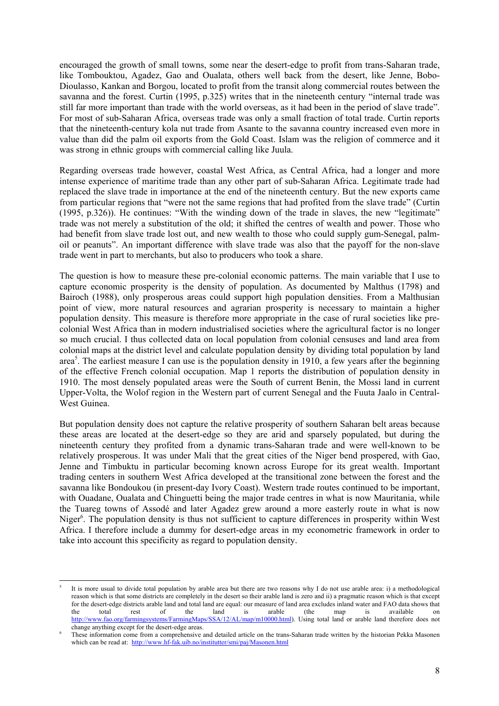encouraged the growth of small towns, some near the desert-edge to profit from trans-Saharan trade, like Tombouktou, Agadez, Gao and Oualata, others well back from the desert, like Jenne, Bobo-Dioulasso, Kankan and Borgou, located to profit from the transit along commercial routes between the savanna and the forest. Curtin (1995, p.325) writes that in the nineteenth century "internal trade was still far more important than trade with the world overseas, as it had been in the period of slave trade". For most of sub-Saharan Africa, overseas trade was only a small fraction of total trade. Curtin reports that the nineteenth-century kola nut trade from Asante to the savanna country increased even more in value than did the palm oil exports from the Gold Coast. Islam was the religion of commerce and it was strong in ethnic groups with commercial calling like Juula.

Regarding overseas trade however, coastal West Africa, as Central Africa, had a longer and more intense experience of maritime trade than any other part of sub-Saharan Africa. Legitimate trade had replaced the slave trade in importance at the end of the nineteenth century. But the new exports came from particular regions that "were not the same regions that had profited from the slave trade" (Curtin (1995, p.326)). He continues: "With the winding down of the trade in slaves, the new "legitimate" trade was not merely a substitution of the old; it shifted the centres of wealth and power. Those who had benefit from slave trade lost out, and new wealth to those who could supply gum-Senegal, palmoil or peanuts". An important difference with slave trade was also that the payoff for the non-slave trade went in part to merchants, but also to producers who took a share.

The question is how to measure these pre-colonial economic patterns. The main variable that I use to capture economic prosperity is the density of population. As documented by Malthus (1798) and Bairoch (1988), only prosperous areas could support high population densities. From a Malthusian point of view, more natural resources and agrarian prosperity is necessary to maintain a higher population density. This measure is therefore more appropriate in the case of rural societies like precolonial West Africa than in modern industrialised societies where the agricultural factor is no longer so much crucial. I thus collected data on local population from colonial censuses and land area from colonial maps at the district level and calculate population density by dividing total population by land area<sup>5</sup>. The earliest measure I can use is the population density in 1910, a few years after the beginning of the effective French colonial occupation. Map 1 reports the distribution of population density in 1910. The most densely populated areas were the South of current Benin, the Mossi land in current Upper-Volta, the Wolof region in the Western part of current Senegal and the Fuuta Jaalo in Central-West Guinea.

But population density does not capture the relative prosperity of southern Saharan belt areas because these areas are located at the desert-edge so they are arid and sparsely populated, but during the nineteenth century they profited from a dynamic trans-Saharan trade and were well-known to be relatively prosperous. It was under Mali that the great cities of the Niger bend prospered, with Gao, Jenne and Timbuktu in particular becoming known across Europe for its great wealth. Important trading centers in southern West Africa developed at the transitional zone between the forest and the savanna like Bondoukou (in present-day Ivory Coast). Western trade routes continued to be important, with Ouadane, Oualata and Chinguetti being the major trade centres in what is now Mauritania, while the Tuareg towns of Assodé and later Agadez grew around a more easterly route in what is now Niger<sup>6</sup>. The population density is thus not sufficient to capture differences in prosperity within West Africa. I therefore include a dummy for desert-edge areas in my econometric framework in order to take into account this specificity as regard to population density.

 $\overline{a}$ 

<sup>5</sup> It is more usual to divide total population by arable area but there are two reasons why I do not use arable area: i) a methodological reason which is that some districts are completely in the desert so their arable land is zero and ii) a pragmatic reason which is that except for the desert-edge districts arable land and total land are equal: our measure of land area excludes inland water and FAO data shows that the total rest of the land is arable (the map is available on http://www.fao.org/farmingsystems/FarmingMaps/SSA/12/AL/map/m10000.html). Using total land or arable land therefore does not change anything except for the desert-edge areas.

These information come from a comprehensive and detailed article on the trans-Saharan trade written by the historian Pekka Masonen which can be read at: http://www.hf-fak.uib.no/institutter/smi/paj/Masonen.html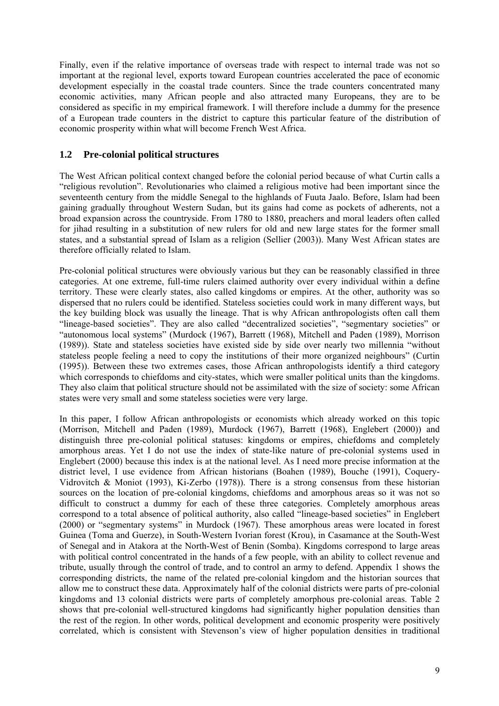Finally, even if the relative importance of overseas trade with respect to internal trade was not so important at the regional level, exports toward European countries accelerated the pace of economic development especially in the coastal trade counters. Since the trade counters concentrated many economic activities, many African people and also attracted many Europeans, they are to be considered as specific in my empirical framework. I will therefore include a dummy for the presence of a European trade counters in the district to capture this particular feature of the distribution of economic prosperity within what will become French West Africa.

## **1.2 Pre-colonial political structures**

The West African political context changed before the colonial period because of what Curtin calls a "religious revolution". Revolutionaries who claimed a religious motive had been important since the seventeenth century from the middle Senegal to the highlands of Fuuta Jaalo. Before, Islam had been gaining gradually throughout Western Sudan, but its gains had come as pockets of adherents, not a broad expansion across the countryside. From 1780 to 1880, preachers and moral leaders often called for jihad resulting in a substitution of new rulers for old and new large states for the former small states, and a substantial spread of Islam as a religion (Sellier (2003)). Many West African states are therefore officially related to Islam.

Pre-colonial political structures were obviously various but they can be reasonably classified in three categories. At one extreme, full-time rulers claimed authority over every individual within a define territory. These were clearly states, also called kingdoms or empires. At the other, authority was so dispersed that no rulers could be identified. Stateless societies could work in many different ways, but the key building block was usually the lineage. That is why African anthropologists often call them "lineage-based societies". They are also called "decentralized societies", "segmentary societies" or "autonomous local systems" (Murdock (1967), Barrett (1968), Mitchell and Paden (1989), Morrison (1989)). State and stateless societies have existed side by side over nearly two millennia "without stateless people feeling a need to copy the institutions of their more organized neighbours" (Curtin (1995)). Between these two extremes cases, those African anthropologists identify a third category which corresponds to chiefdoms and city-states, which were smaller political units than the kingdoms. They also claim that political structure should not be assimilated with the size of society: some African states were very small and some stateless societies were very large.

In this paper, I follow African anthropologists or economists which already worked on this topic (Morrison, Mitchell and Paden (1989), Murdock (1967), Barrett (1968), Englebert (2000)) and distinguish three pre-colonial political statuses: kingdoms or empires, chiefdoms and completely amorphous areas. Yet I do not use the index of state-like nature of pre-colonial systems used in Englebert (2000) because this index is at the national level. As I need more precise information at the district level, I use evidence from African historians (Boahen (1989), Bouche (1991), Coquery-Vidrovitch & Moniot (1993), Ki-Zerbo (1978)). There is a strong consensus from these historian sources on the location of pre-colonial kingdoms, chiefdoms and amorphous areas so it was not so difficult to construct a dummy for each of these three categories. Completely amorphous areas correspond to a total absence of political authority, also called "lineage-based societies" in Englebert (2000) or "segmentary systems" in Murdock (1967). These amorphous areas were located in forest Guinea (Toma and Guerze), in South-Western Ivorian forest (Krou), in Casamance at the South-West of Senegal and in Atakora at the North-West of Benin (Somba). Kingdoms correspond to large areas with political control concentrated in the hands of a few people, with an ability to collect revenue and tribute, usually through the control of trade, and to control an army to defend. Appendix 1 shows the corresponding districts, the name of the related pre-colonial kingdom and the historian sources that allow me to construct these data. Approximately half of the colonial districts were parts of pre-colonial kingdoms and 13 colonial districts were parts of completely amorphous pre-colonial areas. Table 2 shows that pre-colonial well-structured kingdoms had significantly higher population densities than the rest of the region. In other words, political development and economic prosperity were positively correlated, which is consistent with Stevenson's view of higher population densities in traditional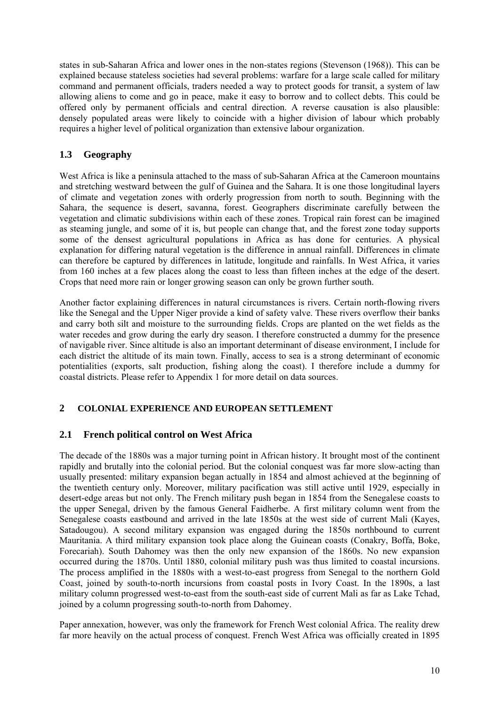states in sub-Saharan Africa and lower ones in the non-states regions (Stevenson (1968)). This can be explained because stateless societies had several problems: warfare for a large scale called for military command and permanent officials, traders needed a way to protect goods for transit, a system of law allowing aliens to come and go in peace, make it easy to borrow and to collect debts. This could be offered only by permanent officials and central direction. A reverse causation is also plausible: densely populated areas were likely to coincide with a higher division of labour which probably requires a higher level of political organization than extensive labour organization.

# **1.3 Geography**

West Africa is like a peninsula attached to the mass of sub-Saharan Africa at the Cameroon mountains and stretching westward between the gulf of Guinea and the Sahara. It is one those longitudinal layers of climate and vegetation zones with orderly progression from north to south. Beginning with the Sahara, the sequence is desert, savanna, forest. Geographers discriminate carefully between the vegetation and climatic subdivisions within each of these zones. Tropical rain forest can be imagined as steaming jungle, and some of it is, but people can change that, and the forest zone today supports some of the densest agricultural populations in Africa as has done for centuries. A physical explanation for differing natural vegetation is the difference in annual rainfall. Differences in climate can therefore be captured by differences in latitude, longitude and rainfalls. In West Africa, it varies from 160 inches at a few places along the coast to less than fifteen inches at the edge of the desert. Crops that need more rain or longer growing season can only be grown further south.

Another factor explaining differences in natural circumstances is rivers. Certain north-flowing rivers like the Senegal and the Upper Niger provide a kind of safety valve. These rivers overflow their banks and carry both silt and moisture to the surrounding fields. Crops are planted on the wet fields as the water recedes and grow during the early dry season. I therefore constructed a dummy for the presence of navigable river. Since altitude is also an important determinant of disease environment, I include for each district the altitude of its main town. Finally, access to sea is a strong determinant of economic potentialities (exports, salt production, fishing along the coast). I therefore include a dummy for coastal districts. Please refer to Appendix 1 for more detail on data sources.

#### **2 COLONIAL EXPERIENCE AND EUROPEAN SETTLEMENT**

# **2.1 French political control on West Africa**

The decade of the 1880s was a major turning point in African history. It brought most of the continent rapidly and brutally into the colonial period. But the colonial conquest was far more slow-acting than usually presented: military expansion began actually in 1854 and almost achieved at the beginning of the twentieth century only. Moreover, military pacification was still active until 1929, especially in desert-edge areas but not only. The French military push began in 1854 from the Senegalese coasts to the upper Senegal, driven by the famous General Faidherbe. A first military column went from the Senegalese coasts eastbound and arrived in the late 1850s at the west side of current Mali (Kayes, Satadougou). A second military expansion was engaged during the 1850s northbound to current Mauritania. A third military expansion took place along the Guinean coasts (Conakry, Boffa, Boke, Forecariah). South Dahomey was then the only new expansion of the 1860s. No new expansion occurred during the 1870s. Until 1880, colonial military push was thus limited to coastal incursions. The process amplified in the 1880s with a west-to-east progress from Senegal to the northern Gold Coast, joined by south-to-north incursions from coastal posts in Ivory Coast. In the 1890s, a last military column progressed west-to-east from the south-east side of current Mali as far as Lake Tchad, joined by a column progressing south-to-north from Dahomey.

Paper annexation, however, was only the framework for French West colonial Africa. The reality drew far more heavily on the actual process of conquest. French West Africa was officially created in 1895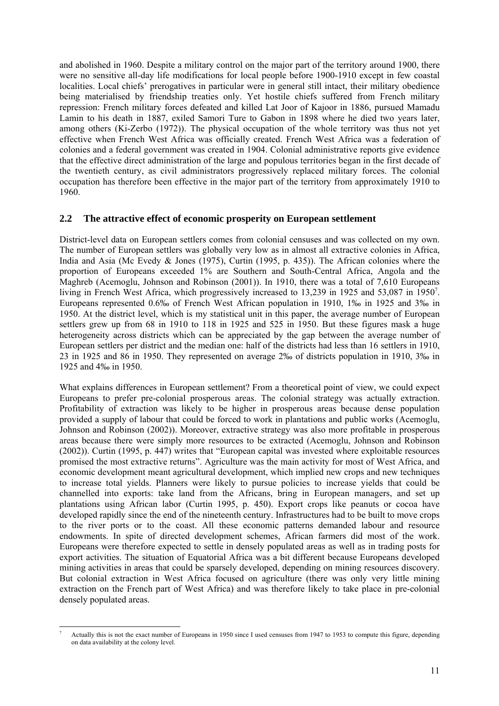and abolished in 1960. Despite a military control on the major part of the territory around 1900, there were no sensitive all-day life modifications for local people before 1900-1910 except in few coastal localities. Local chiefs' prerogatives in particular were in general still intact, their military obedience being materialised by friendship treaties only. Yet hostile chiefs suffered from French military repression: French military forces defeated and killed Lat Joor of Kajoor in 1886, pursued Mamadu Lamin to his death in 1887, exiled Samori Ture to Gabon in 1898 where he died two years later, among others (Ki-Zerbo (1972)). The physical occupation of the whole territory was thus not yet effective when French West Africa was officially created. French West Africa was a federation of colonies and a federal government was created in 1904. Colonial administrative reports give evidence that the effective direct administration of the large and populous territories began in the first decade of the twentieth century, as civil administrators progressively replaced military forces. The colonial occupation has therefore been effective in the major part of the territory from approximately 1910 to 1960.

#### **2.2 The attractive effect of economic prosperity on European settlement**

District-level data on European settlers comes from colonial censuses and was collected on my own. The number of European settlers was globally very low as in almost all extractive colonies in Africa, India and Asia (Mc Evedy & Jones (1975), Curtin (1995, p. 435)). The African colonies where the proportion of Europeans exceeded 1% are Southern and South-Central Africa, Angola and the Maghreb (Acemoglu, Johnson and Robinson (2001)). In 1910, there was a total of 7,610 Europeans living in French West Africa, which progressively increased to 13,239 in 1925 and 53,087 in 1950<sup>7</sup>. Europeans represented 0.6‰ of French West African population in 1910, 1‰ in 1925 and 3‰ in 1950. At the district level, which is my statistical unit in this paper, the average number of European settlers grew up from 68 in 1910 to 118 in 1925 and 525 in 1950. But these figures mask a huge heterogeneity across districts which can be appreciated by the gap between the average number of European settlers per district and the median one: half of the districts had less than 16 settlers in 1910, 23 in 1925 and 86 in 1950. They represented on average 2‰ of districts population in 1910, 3‰ in 1925 and 4‰ in 1950.

What explains differences in European settlement? From a theoretical point of view, we could expect Europeans to prefer pre-colonial prosperous areas. The colonial strategy was actually extraction. Profitability of extraction was likely to be higher in prosperous areas because dense population provided a supply of labour that could be forced to work in plantations and public works (Acemoglu, Johnson and Robinson (2002)). Moreover, extractive strategy was also more profitable in prosperous areas because there were simply more resources to be extracted (Acemoglu, Johnson and Robinson (2002)). Curtin (1995, p. 447) writes that "European capital was invested where exploitable resources promised the most extractive returns". Agriculture was the main activity for most of West Africa, and economic development meant agricultural development, which implied new crops and new techniques to increase total yields. Planners were likely to pursue policies to increase yields that could be channelled into exports: take land from the Africans, bring in European managers, and set up plantations using African labor (Curtin 1995, p. 450). Export crops like peanuts or cocoa have developed rapidly since the end of the nineteenth century. Infrastructures had to be built to move crops to the river ports or to the coast. All these economic patterns demanded labour and resource endowments. In spite of directed development schemes, African farmers did most of the work. Europeans were therefore expected to settle in densely populated areas as well as in trading posts for export activities. The situation of Equatorial Africa was a bit different because Europeans developed mining activities in areas that could be sparsely developed, depending on mining resources discovery. But colonial extraction in West Africa focused on agriculture (there was only very little mining extraction on the French part of West Africa) and was therefore likely to take place in pre-colonial densely populated areas.

l 7 Actually this is not the exact number of Europeans in 1950 since I used censuses from 1947 to 1953 to compute this figure, depending on data availability at the colony level.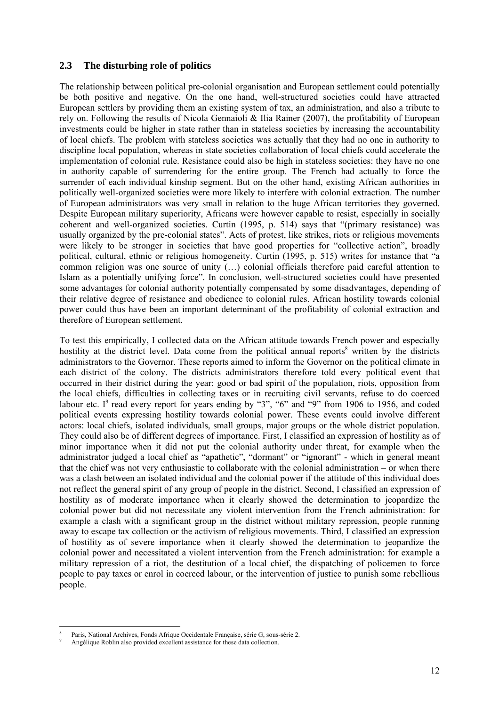#### **2.3 The disturbing role of politics**

The relationship between political pre-colonial organisation and European settlement could potentially be both positive and negative. On the one hand, well-structured societies could have attracted European settlers by providing them an existing system of tax, an administration, and also a tribute to rely on. Following the results of Nicola Gennaioli & Ilia Rainer (2007), the profitability of European investments could be higher in state rather than in stateless societies by increasing the accountability of local chiefs. The problem with stateless societies was actually that they had no one in authority to discipline local population, whereas in state societies collaboration of local chiefs could accelerate the implementation of colonial rule. Resistance could also be high in stateless societies: they have no one in authority capable of surrendering for the entire group. The French had actually to force the surrender of each individual kinship segment. But on the other hand, existing African authorities in politically well-organized societies were more likely to interfere with colonial extraction. The number of European administrators was very small in relation to the huge African territories they governed. Despite European military superiority, Africans were however capable to resist, especially in socially coherent and well-organized societies. Curtin (1995, p. 514) says that "(primary resistance) was usually organized by the pre-colonial states". Acts of protest, like strikes, riots or religious movements were likely to be stronger in societies that have good properties for "collective action", broadly political, cultural, ethnic or religious homogeneity. Curtin (1995, p. 515) writes for instance that "a common religion was one source of unity (…) colonial officials therefore paid careful attention to Islam as a potentially unifying force". In conclusion, well-structured societies could have presented some advantages for colonial authority potentially compensated by some disadvantages, depending of their relative degree of resistance and obedience to colonial rules. African hostility towards colonial power could thus have been an important determinant of the profitability of colonial extraction and therefore of European settlement.

To test this empirically, I collected data on the African attitude towards French power and especially hostility at the district level. Data come from the political annual reports<sup>8</sup> written by the districts administrators to the Governor. These reports aimed to inform the Governor on the political climate in each district of the colony. The districts administrators therefore told every political event that occurred in their district during the year: good or bad spirit of the population, riots, opposition from the local chiefs, difficulties in collecting taxes or in recruiting civil servants, refuse to do coerced labour etc.  $I^9$  read every report for years ending by "3", "6" and "9" from 1906 to 1956, and coded political events expressing hostility towards colonial power. These events could involve different actors: local chiefs, isolated individuals, small groups, major groups or the whole district population. They could also be of different degrees of importance. First, I classified an expression of hostility as of minor importance when it did not put the colonial authority under threat, for example when the administrator judged a local chief as "apathetic", "dormant" or "ignorant" - which in general meant that the chief was not very enthusiastic to collaborate with the colonial administration – or when there was a clash between an isolated individual and the colonial power if the attitude of this individual does not reflect the general spirit of any group of people in the district. Second, I classified an expression of hostility as of moderate importance when it clearly showed the determination to jeopardize the colonial power but did not necessitate any violent intervention from the French administration: for example a clash with a significant group in the district without military repression, people running away to escape tax collection or the activism of religious movements. Third, I classified an expression of hostility as of severe importance when it clearly showed the determination to jeopardize the colonial power and necessitated a violent intervention from the French administration: for example a military repression of a riot, the destitution of a local chief, the dispatching of policemen to force people to pay taxes or enrol in coerced labour, or the intervention of justice to punish some rebellious people.

l 8 Paris, National Archives, Fonds Afrique Occidentale Française, série G, sous-série 2. 9

Angélique Roblin also provided excellent assistance for these data collection.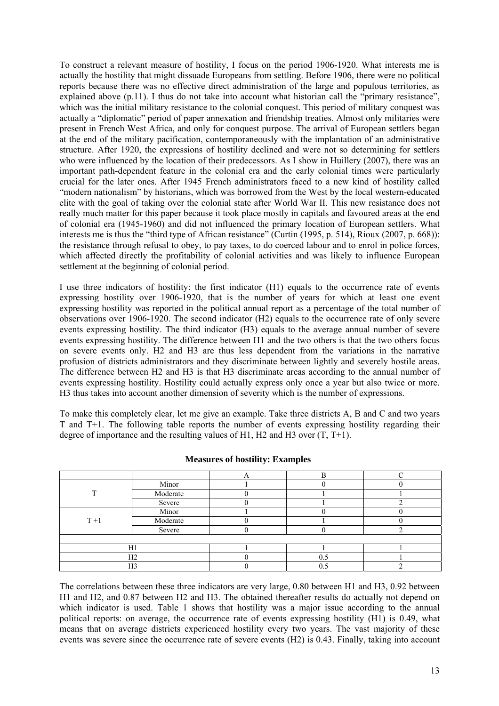To construct a relevant measure of hostility, I focus on the period 1906-1920. What interests me is actually the hostility that might dissuade Europeans from settling. Before 1906, there were no political reports because there was no effective direct administration of the large and populous territories, as explained above (p.11). I thus do not take into account what historian call the "primary resistance", which was the initial military resistance to the colonial conquest. This period of military conquest was actually a "diplomatic" period of paper annexation and friendship treaties. Almost only militaries were present in French West Africa, and only for conquest purpose. The arrival of European settlers began at the end of the military pacification, contemporaneously with the implantation of an administrative structure. After 1920, the expressions of hostility declined and were not so determining for settlers who were influenced by the location of their predecessors. As I show in Huillery (2007), there was an important path-dependent feature in the colonial era and the early colonial times were particularly crucial for the later ones. After 1945 French administrators faced to a new kind of hostility called "modern nationalism" by historians, which was borrowed from the West by the local western-educated elite with the goal of taking over the colonial state after World War II. This new resistance does not really much matter for this paper because it took place mostly in capitals and favoured areas at the end of colonial era (1945-1960) and did not influenced the primary location of European settlers. What interests me is thus the "third type of African resistance" (Curtin (1995, p. 514), Rioux (2007, p. 668)): the resistance through refusal to obey, to pay taxes, to do coerced labour and to enrol in police forces, which affected directly the profitability of colonial activities and was likely to influence European settlement at the beginning of colonial period.

I use three indicators of hostility: the first indicator (H1) equals to the occurrence rate of events expressing hostility over 1906-1920, that is the number of years for which at least one event expressing hostility was reported in the political annual report as a percentage of the total number of observations over 1906-1920. The second indicator (H2) equals to the occurrence rate of only severe events expressing hostility. The third indicator (H3) equals to the average annual number of severe events expressing hostility. The difference between H1 and the two others is that the two others focus on severe events only. H2 and H3 are thus less dependent from the variations in the narrative profusion of districts administrators and they discriminate between lightly and severely hostile areas. The difference between H2 and H3 is that H3 discriminate areas according to the annual number of events expressing hostility. Hostility could actually express only once a year but also twice or more. H3 thus takes into account another dimension of severity which is the number of expressions.

To make this completely clear, let me give an example. Take three districts A, B and C and two years T and T+1. The following table reports the number of events expressing hostility regarding their degree of importance and the resulting values of H1, H2 and H3 over  $(T, T+1)$ .

|       | Minor    |     |  |
|-------|----------|-----|--|
|       | Moderate |     |  |
|       | Severe   |     |  |
|       | Minor    |     |  |
| $T+1$ | Moderate |     |  |
|       | Severe   |     |  |
|       |          |     |  |
|       | H1       |     |  |
|       | H2       | U.S |  |
|       | H3       |     |  |

**Measures of hostility: Examples** 

The correlations between these three indicators are very large, 0.80 between H1 and H3, 0.92 between H1 and H2, and 0.87 between H2 and H3. The obtained thereafter results do actually not depend on which indicator is used. Table 1 shows that hostility was a major issue according to the annual political reports: on average, the occurrence rate of events expressing hostility (H1) is 0.49, what means that on average districts experienced hostility every two years. The vast majority of these events was severe since the occurrence rate of severe events (H2) is 0.43. Finally, taking into account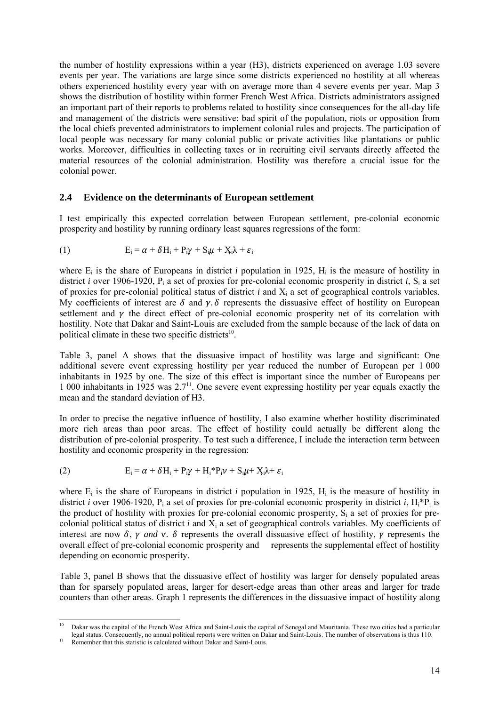the number of hostility expressions within a year (H3), districts experienced on average 1.03 severe events per year. The variations are large since some districts experienced no hostility at all whereas others experienced hostility every year with on average more than 4 severe events per year. Map 3 shows the distribution of hostility within former French West Africa. Districts administrators assigned an important part of their reports to problems related to hostility since consequences for the all-day life and management of the districts were sensitive: bad spirit of the population, riots or opposition from the local chiefs prevented administrators to implement colonial rules and projects. The participation of local people was necessary for many colonial public or private activities like plantations or public works. Moreover, difficulties in collecting taxes or in recruiting civil servants directly affected the material resources of the colonial administration. Hostility was therefore a crucial issue for the colonial power.

#### **2.4 Evidence on the determinants of European settlement**

I test empirically this expected correlation between European settlement, pre-colonial economic prosperity and hostility by running ordinary least squares regressions of the form:

(1) 
$$
E_i = \alpha + \delta H_i + P_i \gamma + S_i \mu + X_i \lambda + \varepsilon_i
$$

where  $E_i$  is the share of Europeans in district *i* population in 1925,  $H_i$  is the measure of hostility in district *i* over 1906-1920, P<sub>i</sub> a set of proxies for pre-colonial economic prosperity in district *i*, S<sub>i</sub> a set of proxies for pre-colonial political status of district *i* and Xi a set of geographical controls variables. My coefficients of interest are  $\delta$  and  $\gamma$ .  $\delta$  represents the dissuasive effect of hostility on European settlement and  $\gamma$  the direct effect of pre-colonial economic prosperity net of its correlation with hostility. Note that Dakar and Saint-Louis are excluded from the sample because of the lack of data on political climate in these two specific districts<sup>10</sup>.

Table 3, panel A shows that the dissuasive impact of hostility was large and significant: One additional severe event expressing hostility per year reduced the number of European per 1 000 inhabitants in 1925 by one. The size of this effect is important since the number of Europeans per 1 000 inhabitants in 1925 was 2.711. One severe event expressing hostility per year equals exactly the mean and the standard deviation of H3.

In order to precise the negative influence of hostility, I also examine whether hostility discriminated more rich areas than poor areas. The effect of hostility could actually be different along the distribution of pre-colonial prosperity. To test such a difference, I include the interaction term between hostility and economic prosperity in the regression:

(2) 
$$
E_i = \alpha + \delta H_i + P_i \gamma + H_i^* P_i \gamma + S_i \mu + X_i \lambda + \varepsilon_i
$$

where  $E_i$  is the share of Europeans in district *i* population in 1925,  $H_i$  is the measure of hostility in district *i* over 1906-1920,  $P_i$  a set of proxies for pre-colonial economic prosperity in district *i*,  $H_i^*P_i$  is the product of hostility with proxies for pre-colonial economic prosperity,  $S_i$  a set of proxies for precolonial political status of district *i* and Xi a set of geographical controls variables. My coefficients of interest are now  $\delta$ ,  $\gamma$  *and*  $\gamma$ .  $\delta$  represents the overall dissuasive effect of hostility,  $\gamma$  represents the overall effect of pre-colonial economic prosperity and represents the supplemental effect of hostility depending on economic prosperity.

Table 3, panel B shows that the dissuasive effect of hostility was larger for densely populated areas than for sparsely populated areas, larger for desert-edge areas than other areas and larger for trade counters than other areas. Graph 1 represents the differences in the dissuasive impact of hostility along

 $10$ 10 Dakar was the capital of the French West Africa and Saint-Louis the capital of Senegal and Mauritania. These two cities had a particular legal status. Consequently, no annual political reports were written on Dakar and Saint-Louis. The number of observations is thus 110. Remember that this statistic is calculated without Dakar and Saint-Louis.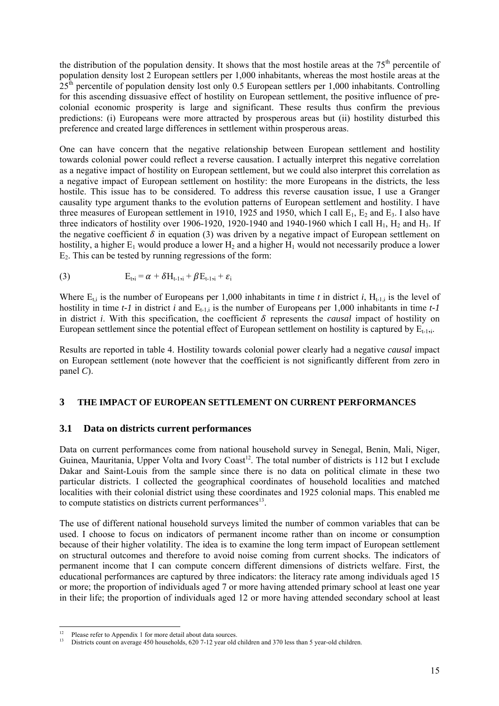the distribution of the population density. It shows that the most hostile areas at the  $75<sup>th</sup>$  percentile of population density lost 2 European settlers per 1,000 inhabitants, whereas the most hostile areas at the  $25<sup>th</sup>$  percentile of population density lost only 0.5 European settlers per 1,000 inhabitants. Controlling for this ascending dissuasive effect of hostility on European settlement, the positive influence of precolonial economic prosperity is large and significant. These results thus confirm the previous predictions: (i) Europeans were more attracted by prosperous areas but (ii) hostility disturbed this preference and created large differences in settlement within prosperous areas.

One can have concern that the negative relationship between European settlement and hostility towards colonial power could reflect a reverse causation. I actually interpret this negative correlation as a negative impact of hostility on European settlement, but we could also interpret this correlation as a negative impact of European settlement on hostility: the more Europeans in the districts, the less hostile. This issue has to be considered. To address this reverse causation issue, I use a Granger causality type argument thanks to the evolution patterns of European settlement and hostility. I have three measures of European settlement in 1910, 1925 and 1950, which I call  $E_1$ ,  $E_2$  and  $E_3$ . I also have three indicators of hostility over 1906-1920, 1920-1940 and 1940-1960 which I call  $H_1$ ,  $H_2$  and  $H_3$ . If the negative coefficient  $\delta$  in equation (3) was driven by a negative impact of European settlement on hostility, a higher  $E_1$  would produce a lower  $H_2$  and a higher  $H_1$  would not necessarily produce a lower E2. This can be tested by running regressions of the form:

(3) 
$$
E_{t,i} = \alpha + \delta H_{t-1,i} + \beta E_{t-1,i} + \varepsilon_i
$$

Where  $E_{t,i}$  is the number of Europeans per 1,000 inhabitants in time *t* in district *i*, H<sub>t-1,i</sub> is the level of hostility in time  $t-1$  in district *i* and  $E_{t-1}$  is the number of Europeans per 1,000 inhabitants in time  $t-1$ in district *i*. With this specification, the coefficient  $\delta$  represents the *causal* impact of hostility on European settlement since the potential effect of European settlement on hostility is captured by  $E_{t-1,i}$ .

Results are reported in table 4. Hostility towards colonial power clearly had a negative *causal* impact on European settlement (note however that the coefficient is not significantly different from zero in panel *C*).

#### **3 THE IMPACT OF EUROPEAN SETTLEMENT ON CURRENT PERFORMANCES**

#### **3.1 Data on districts current performances**

Data on current performances come from national household survey in Senegal, Benin, Mali, Niger, Guinea, Mauritania, Upper Volta and Ivory Coast<sup>12</sup>. The total number of districts is 112 but I exclude Dakar and Saint-Louis from the sample since there is no data on political climate in these two particular districts. I collected the geographical coordinates of household localities and matched localities with their colonial district using these coordinates and 1925 colonial maps. This enabled me to compute statistics on districts current performances<sup>13</sup>.

The use of different national household surveys limited the number of common variables that can be used. I choose to focus on indicators of permanent income rather than on income or consumption because of their higher volatility. The idea is to examine the long term impact of European settlement on structural outcomes and therefore to avoid noise coming from current shocks. The indicators of permanent income that I can compute concern different dimensions of districts welfare. First, the educational performances are captured by three indicators: the literacy rate among individuals aged 15 or more; the proportion of individuals aged 7 or more having attended primary school at least one year in their life; the proportion of individuals aged 12 or more having attended secondary school at least

l  $12$  Please refer to Appendix 1 for more detail about data sources.

<sup>&</sup>lt;sup>13</sup> Districts count on average 450 households, 620 7-12 year old children and 370 less than 5 year-old children.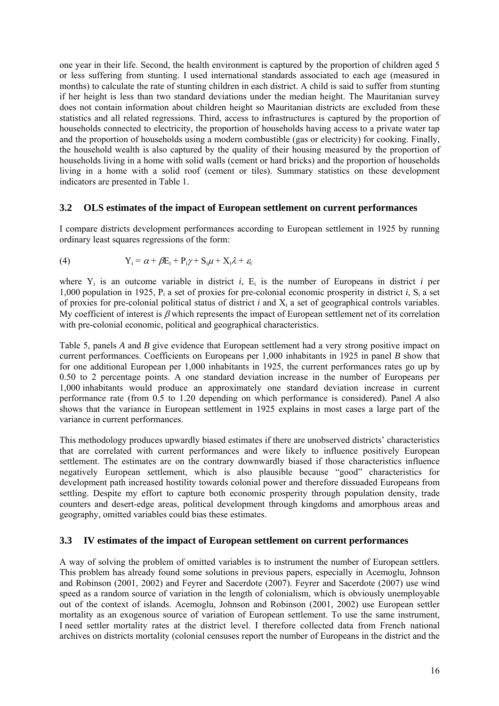one year in their life. Second, the health environment is captured by the proportion of children aged 5 or less suffering from stunting. I used international standards associated to each age (measured in months) to calculate the rate of stunting children in each district. A child is said to suffer from stunting if her height is less than two standard deviations under the median height. The Mauritanian survey does not contain information about children height so Mauritanian districts are excluded from these statistics and all related regressions. Third, access to infrastructures is captured by the proportion of households connected to electricity, the proportion of households having access to a private water tap and the proportion of households using a modern combustible (gas or electricity) for cooking. Finally, the household wealth is also captured by the quality of their housing measured by the proportion of households living in a home with solid walls (cement or hard bricks) and the proportion of households living in a home with a solid roof (cement or tiles). Summary statistics on these development indicators are presented in Table 1.

#### **3.2 OLS estimates of the impact of European settlement on current performances**

I compare districts development performances according to European settlement in 1925 by running ordinary least squares regressions of the form:

(4) 
$$
Y_i = \alpha + \beta E_i + P_i \gamma + S_i \mu + X_i \lambda + \varepsilon_i
$$

where  $Y_i$  is an outcome variable in district *i*,  $E_i$  is the number of Europeans in district *i* per 1,000 population in 1925,  $P_i$  a set of proxies for pre-colonial economic prosperity in district *i*,  $S_i$  a set of proxies for pre-colonial political status of district *i* and Xi a set of geographical controls variables. My coefficient of interest is  $\beta$  which represents the impact of European settlement net of its correlation with pre-colonial economic, political and geographical characteristics.

Table 5, panels *A* and *B* give evidence that European settlement had a very strong positive impact on current performances. Coefficients on Europeans per 1,000 inhabitants in 1925 in panel *B* show that for one additional European per 1,000 inhabitants in 1925, the current performances rates go up by 0.50 to 2 percentage points. A one standard deviation increase in the number of Europeans per 1,000 inhabitants would produce an approximately one standard deviation increase in current performance rate (from 0.5 to 1.20 depending on which performance is considered). Panel *A* also shows that the variance in European settlement in 1925 explains in most cases a large part of the variance in current performances.

This methodology produces upwardly biased estimates if there are unobserved districts' characteristics that are correlated with current performances and were likely to influence positively European settlement. The estimates are on the contrary downwardly biased if those characteristics influence negatively European settlement, which is also plausible because "good" characteristics for development path increased hostility towards colonial power and therefore dissuaded Europeans from settling. Despite my effort to capture both economic prosperity through population density, trade counters and desert-edge areas, political development through kingdoms and amorphous areas and geography, omitted variables could bias these estimates.

#### **3.3 IV estimates of the impact of European settlement on current performances**

A way of solving the problem of omitted variables is to instrument the number of European settlers. This problem has already found some solutions in previous papers, especially in Acemoglu, Johnson and Robinson (2001, 2002) and Feyrer and Sacerdote (2007). Feyrer and Sacerdote (2007) use wind speed as a random source of variation in the length of colonialism, which is obviously unemployable out of the context of islands. Acemoglu, Johnson and Robinson (2001, 2002) use European settler mortality as an exogenous source of variation of European settlement. To use the same instrument, I need settler mortality rates at the district level. I therefore collected data from French national archives on districts mortality (colonial censuses report the number of Europeans in the district and the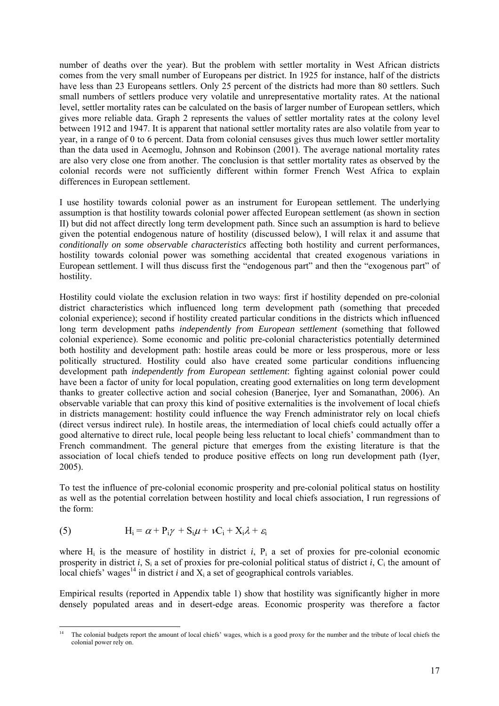number of deaths over the year). But the problem with settler mortality in West African districts comes from the very small number of Europeans per district. In 1925 for instance, half of the districts have less than 23 Europeans settlers. Only 25 percent of the districts had more than 80 settlers. Such small numbers of settlers produce very volatile and unrepresentative mortality rates. At the national level, settler mortality rates can be calculated on the basis of larger number of European settlers, which gives more reliable data. Graph 2 represents the values of settler mortality rates at the colony level between 1912 and 1947. It is apparent that national settler mortality rates are also volatile from year to year, in a range of 0 to 6 percent. Data from colonial censuses gives thus much lower settler mortality than the data used in Acemoglu, Johnson and Robinson (2001). The average national mortality rates are also very close one from another. The conclusion is that settler mortality rates as observed by the colonial records were not sufficiently different within former French West Africa to explain differences in European settlement.

I use hostility towards colonial power as an instrument for European settlement. The underlying assumption is that hostility towards colonial power affected European settlement (as shown in section II) but did not affect directly long term development path. Since such an assumption is hard to believe given the potential endogenous nature of hostility (discussed below), I will relax it and assume that *conditionally on some observable characteristics* affecting both hostility and current performances, hostility towards colonial power was something accidental that created exogenous variations in European settlement. I will thus discuss first the "endogenous part" and then the "exogenous part" of hostility.

Hostility could violate the exclusion relation in two ways: first if hostility depended on pre-colonial district characteristics which influenced long term development path (something that preceded colonial experience); second if hostility created particular conditions in the districts which influenced long term development paths *independently from European settlement* (something that followed colonial experience). Some economic and politic pre-colonial characteristics potentially determined both hostility and development path: hostile areas could be more or less prosperous, more or less politically structured. Hostility could also have created some particular conditions influencing development path *independently from European settlement*: fighting against colonial power could have been a factor of unity for local population, creating good externalities on long term development thanks to greater collective action and social cohesion (Banerjee, Iyer and Somanathan, 2006). An observable variable that can proxy this kind of positive externalities is the involvement of local chiefs in districts management: hostility could influence the way French administrator rely on local chiefs (direct versus indirect rule). In hostile areas, the intermediation of local chiefs could actually offer a good alternative to direct rule, local people being less reluctant to local chiefs' commandment than to French commandment. The general picture that emerges from the existing literature is that the association of local chiefs tended to produce positive effects on long run development path (Iyer, 2005).

To test the influence of pre-colonial economic prosperity and pre-colonial political status on hostility as well as the potential correlation between hostility and local chiefs association, I run regressions of the form:

(5) 
$$
H_i = \alpha + P_i \gamma + S_i \mu + \nu C_i + X_i \lambda + \varepsilon_i
$$

where  $H_i$  is the measure of hostility in district *i*,  $P_i$  a set of proxies for pre-colonial economic prosperity in district *i*,  $S_i$  a set of proxies for pre-colonial political status of district *i*,  $C_i$  the amount of local chiefs' wages<sup>14</sup> in district *i* and  $X_i$  a set of geographical controls variables.

Empirical results (reported in Appendix table 1) show that hostility was significantly higher in more densely populated areas and in desert-edge areas. Economic prosperity was therefore a factor

l <sup>14</sup> The colonial budgets report the amount of local chiefs' wages, which is a good proxy for the number and the tribute of local chiefs the colonial power rely on.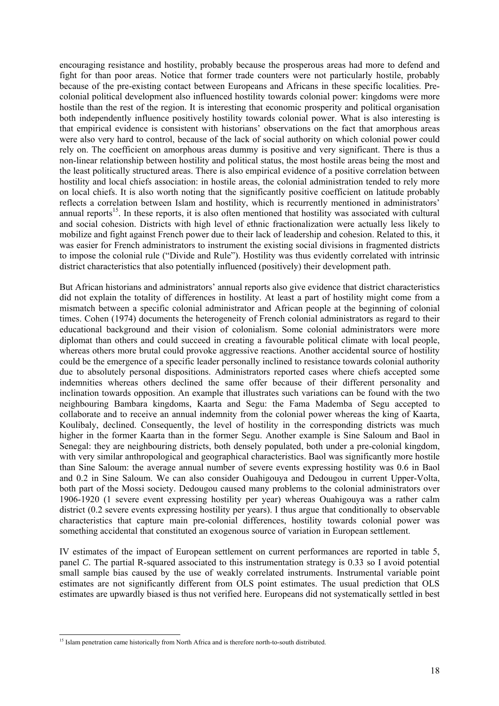encouraging resistance and hostility, probably because the prosperous areas had more to defend and fight for than poor areas. Notice that former trade counters were not particularly hostile, probably because of the pre-existing contact between Europeans and Africans in these specific localities. Precolonial political development also influenced hostility towards colonial power: kingdoms were more hostile than the rest of the region. It is interesting that economic prosperity and political organisation both independently influence positively hostility towards colonial power. What is also interesting is that empirical evidence is consistent with historians' observations on the fact that amorphous areas were also very hard to control, because of the lack of social authority on which colonial power could rely on. The coefficient on amorphous areas dummy is positive and very significant. There is thus a non-linear relationship between hostility and political status, the most hostile areas being the most and the least politically structured areas. There is also empirical evidence of a positive correlation between hostility and local chiefs association: in hostile areas, the colonial administration tended to rely more on local chiefs. It is also worth noting that the significantly positive coefficient on latitude probably reflects a correlation between Islam and hostility, which is recurrently mentioned in administrators' annual reports<sup>15</sup>. In these reports, it is also often mentioned that hostility was associated with cultural and social cohesion. Districts with high level of ethnic fractionalization were actually less likely to mobilize and fight against French power due to their lack of leadership and cohesion. Related to this, it was easier for French administrators to instrument the existing social divisions in fragmented districts to impose the colonial rule ("Divide and Rule"). Hostility was thus evidently correlated with intrinsic district characteristics that also potentially influenced (positively) their development path.

But African historians and administrators' annual reports also give evidence that district characteristics did not explain the totality of differences in hostility. At least a part of hostility might come from a mismatch between a specific colonial administrator and African people at the beginning of colonial times. Cohen (1974) documents the heterogeneity of French colonial administrators as regard to their educational background and their vision of colonialism. Some colonial administrators were more diplomat than others and could succeed in creating a favourable political climate with local people, whereas others more brutal could provoke aggressive reactions. Another accidental source of hostility could be the emergence of a specific leader personally inclined to resistance towards colonial authority due to absolutely personal dispositions. Administrators reported cases where chiefs accepted some indemnities whereas others declined the same offer because of their different personality and inclination towards opposition. An example that illustrates such variations can be found with the two neighbouring Bambara kingdoms, Kaarta and Segu: the Fama Mademba of Segu accepted to collaborate and to receive an annual indemnity from the colonial power whereas the king of Kaarta, Koulibaly, declined. Consequently, the level of hostility in the corresponding districts was much higher in the former Kaarta than in the former Segu. Another example is Sine Saloum and Baol in Senegal: they are neighbouring districts, both densely populated, both under a pre-colonial kingdom, with very similar anthropological and geographical characteristics. Baol was significantly more hostile than Sine Saloum: the average annual number of severe events expressing hostility was 0.6 in Baol and 0.2 in Sine Saloum. We can also consider Ouahigouya and Dedougou in current Upper-Volta, both part of the Mossi society. Dedougou caused many problems to the colonial administrators over 1906-1920 (1 severe event expressing hostility per year) whereas Ouahigouya was a rather calm district (0.2 severe events expressing hostility per years). I thus argue that conditionally to observable characteristics that capture main pre-colonial differences, hostility towards colonial power was something accidental that constituted an exogenous source of variation in European settlement.

IV estimates of the impact of European settlement on current performances are reported in table 5, panel *C*. The partial R-squared associated to this instrumentation strategy is 0.33 so I avoid potential small sample bias caused by the use of weakly correlated instruments. Instrumental variable point estimates are not significantly different from OLS point estimates. The usual prediction that OLS estimates are upwardly biased is thus not verified here. Europeans did not systematically settled in best

l

<sup>&</sup>lt;sup>15</sup> Islam penetration came historically from North Africa and is therefore north-to-south distributed.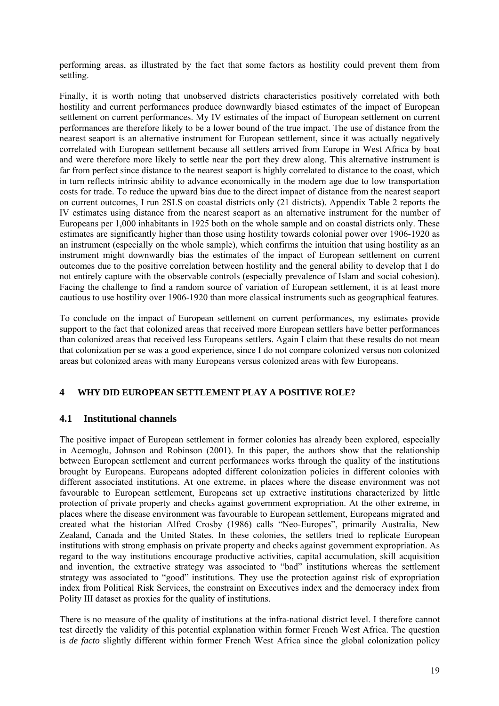performing areas, as illustrated by the fact that some factors as hostility could prevent them from settling.

Finally, it is worth noting that unobserved districts characteristics positively correlated with both hostility and current performances produce downwardly biased estimates of the impact of European settlement on current performances. My IV estimates of the impact of European settlement on current performances are therefore likely to be a lower bound of the true impact. The use of distance from the nearest seaport is an alternative instrument for European settlement, since it was actually negatively correlated with European settlement because all settlers arrived from Europe in West Africa by boat and were therefore more likely to settle near the port they drew along. This alternative instrument is far from perfect since distance to the nearest seaport is highly correlated to distance to the coast, which in turn reflects intrinsic ability to advance economically in the modern age due to low transportation costs for trade. To reduce the upward bias due to the direct impact of distance from the nearest seaport on current outcomes, I run 2SLS on coastal districts only (21 districts). Appendix Table 2 reports the IV estimates using distance from the nearest seaport as an alternative instrument for the number of Europeans per 1,000 inhabitants in 1925 both on the whole sample and on coastal districts only. These estimates are significantly higher than those using hostility towards colonial power over 1906-1920 as an instrument (especially on the whole sample), which confirms the intuition that using hostility as an instrument might downwardly bias the estimates of the impact of European settlement on current outcomes due to the positive correlation between hostility and the general ability to develop that I do not entirely capture with the observable controls (especially prevalence of Islam and social cohesion). Facing the challenge to find a random source of variation of European settlement, it is at least more cautious to use hostility over 1906-1920 than more classical instruments such as geographical features.

To conclude on the impact of European settlement on current performances, my estimates provide support to the fact that colonized areas that received more European settlers have better performances than colonized areas that received less Europeans settlers. Again I claim that these results do not mean that colonization per se was a good experience, since I do not compare colonized versus non colonized areas but colonized areas with many Europeans versus colonized areas with few Europeans.

# **4 WHY DID EUROPEAN SETTLEMENT PLAY A POSITIVE ROLE?**

#### **4.1 Institutional channels**

The positive impact of European settlement in former colonies has already been explored, especially in Acemoglu, Johnson and Robinson (2001). In this paper, the authors show that the relationship between European settlement and current performances works through the quality of the institutions brought by Europeans. Europeans adopted different colonization policies in different colonies with different associated institutions. At one extreme, in places where the disease environment was not favourable to European settlement, Europeans set up extractive institutions characterized by little protection of private property and checks against government expropriation. At the other extreme, in places where the disease environment was favourable to European settlement, Europeans migrated and created what the historian Alfred Crosby (1986) calls "Neo-Europes", primarily Australia, New Zealand, Canada and the United States. In these colonies, the settlers tried to replicate European institutions with strong emphasis on private property and checks against government expropriation. As regard to the way institutions encourage productive activities, capital accumulation, skill acquisition and invention, the extractive strategy was associated to "bad" institutions whereas the settlement strategy was associated to "good" institutions. They use the protection against risk of expropriation index from Political Risk Services, the constraint on Executives index and the democracy index from Polity III dataset as proxies for the quality of institutions.

There is no measure of the quality of institutions at the infra-national district level. I therefore cannot test directly the validity of this potential explanation within former French West Africa. The question is *de facto* slightly different within former French West Africa since the global colonization policy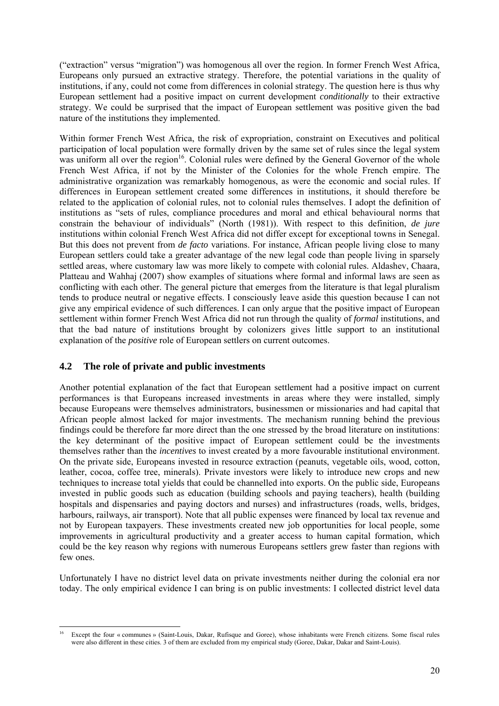("extraction" versus "migration") was homogenous all over the region. In former French West Africa, Europeans only pursued an extractive strategy. Therefore, the potential variations in the quality of institutions, if any, could not come from differences in colonial strategy. The question here is thus why European settlement had a positive impact on current development *conditionally* to their extractive strategy. We could be surprised that the impact of European settlement was positive given the bad nature of the institutions they implemented.

Within former French West Africa, the risk of expropriation, constraint on Executives and political participation of local population were formally driven by the same set of rules since the legal system was uniform all over the region<sup>16</sup>. Colonial rules were defined by the General Governor of the whole French West Africa, if not by the Minister of the Colonies for the whole French empire. The administrative organization was remarkably homogenous, as were the economic and social rules. If differences in European settlement created some differences in institutions, it should therefore be related to the application of colonial rules, not to colonial rules themselves. I adopt the definition of institutions as "sets of rules, compliance procedures and moral and ethical behavioural norms that constrain the behaviour of individuals" (North (1981)). With respect to this definition, *de jure* institutions within colonial French West Africa did not differ except for exceptional towns in Senegal. But this does not prevent from *de facto* variations. For instance, African people living close to many European settlers could take a greater advantage of the new legal code than people living in sparsely settled areas, where customary law was more likely to compete with colonial rules. Aldashev, Chaara, Platteau and Wahhaj (2007) show examples of situations where formal and informal laws are seen as conflicting with each other. The general picture that emerges from the literature is that legal pluralism tends to produce neutral or negative effects. I consciously leave aside this question because I can not give any empirical evidence of such differences. I can only argue that the positive impact of European settlement within former French West Africa did not run through the quality of *formal* institutions, and that the bad nature of institutions brought by colonizers gives little support to an institutional explanation of the *positive* role of European settlers on current outcomes.

# **4.2 The role of private and public investments**

Another potential explanation of the fact that European settlement had a positive impact on current performances is that Europeans increased investments in areas where they were installed, simply because Europeans were themselves administrators, businessmen or missionaries and had capital that African people almost lacked for major investments. The mechanism running behind the previous findings could be therefore far more direct than the one stressed by the broad literature on institutions: the key determinant of the positive impact of European settlement could be the investments themselves rather than the *incentives* to invest created by a more favourable institutional environment. On the private side, Europeans invested in resource extraction (peanuts, vegetable oils, wood, cotton, leather, cocoa, coffee tree, minerals). Private investors were likely to introduce new crops and new techniques to increase total yields that could be channelled into exports. On the public side, Europeans invested in public goods such as education (building schools and paying teachers), health (building hospitals and dispensaries and paying doctors and nurses) and infrastructures (roads, wells, bridges, harbours, railways, air transport). Note that all public expenses were financed by local tax revenue and not by European taxpayers. These investments created new job opportunities for local people, some improvements in agricultural productivity and a greater access to human capital formation, which could be the key reason why regions with numerous Europeans settlers grew faster than regions with few ones.

Unfortunately I have no district level data on private investments neither during the colonial era nor today. The only empirical evidence I can bring is on public investments: I collected district level data

l <sup>16</sup> Except the four « communes » (Saint-Louis, Dakar, Rufisque and Goree), whose inhabitants were French citizens. Some fiscal rules were also different in these cities. 3 of them are excluded from my empirical study (Goree, Dakar, Dakar and Saint-Louis).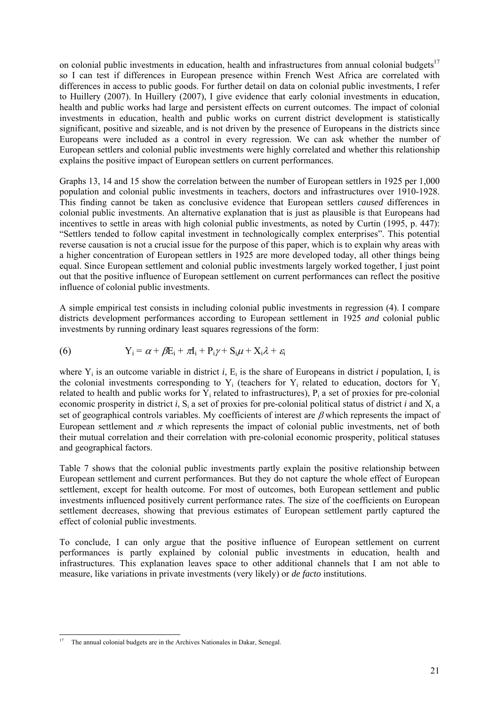on colonial public investments in education, health and infrastructures from annual colonial budgets<sup>17</sup> so I can test if differences in European presence within French West Africa are correlated with differences in access to public goods. For further detail on data on colonial public investments, I refer to Huillery (2007). In Huillery (2007), I give evidence that early colonial investments in education, health and public works had large and persistent effects on current outcomes. The impact of colonial investments in education, health and public works on current district development is statistically significant, positive and sizeable, and is not driven by the presence of Europeans in the districts since Europeans were included as a control in every regression. We can ask whether the number of European settlers and colonial public investments were highly correlated and whether this relationship explains the positive impact of European settlers on current performances.

Graphs 13, 14 and 15 show the correlation between the number of European settlers in 1925 per 1,000 population and colonial public investments in teachers, doctors and infrastructures over 1910-1928. This finding cannot be taken as conclusive evidence that European settlers *caused* differences in colonial public investments. An alternative explanation that is just as plausible is that Europeans had incentives to settle in areas with high colonial public investments, as noted by Curtin (1995, p. 447): "Settlers tended to follow capital investment in technologically complex enterprises". This potential reverse causation is not a crucial issue for the purpose of this paper, which is to explain why areas with a higher concentration of European settlers in 1925 are more developed today, all other things being equal. Since European settlement and colonial public investments largely worked together, I just point out that the positive influence of European settlement on current performances can reflect the positive influence of colonial public investments.

A simple empirical test consists in including colonial public investments in regression (4). I compare districts development performances according to European settlement in 1925 *and* colonial public investments by running ordinary least squares regressions of the form:

(6) 
$$
Y_i = \alpha + \beta E_i + \pi I_i + P_i \gamma + S_i \mu + X_i \lambda + \varepsilon_i
$$

where  $Y_i$  is an outcome variable in district *i*,  $E_i$  is the share of Europeans in district *i* population,  $I_i$  is the colonial investments corresponding to  $Y_i$  (teachers for  $Y_i$  related to education, doctors for  $Y_i$ related to health and public works for  $Y_i$  related to infrastructures),  $P_i$  a set of proxies for pre-colonial economic prosperity in district *i*,  $S_i$  a set of proxies for pre-colonial political status of district *i* and  $X_i$  a set of geographical controls variables. My coefficients of interest are  $\beta$  which represents the impact of European settlement and  $\pi$  which represents the impact of colonial public investments, net of both their mutual correlation and their correlation with pre-colonial economic prosperity, political statuses and geographical factors.

Table 7 shows that the colonial public investments partly explain the positive relationship between European settlement and current performances. But they do not capture the whole effect of European settlement, except for health outcome. For most of outcomes, both European settlement and public investments influenced positively current performance rates. The size of the coefficients on European settlement decreases, showing that previous estimates of European settlement partly captured the effect of colonial public investments.

To conclude, I can only argue that the positive influence of European settlement on current performances is partly explained by colonial public investments in education, health and infrastructures. This explanation leaves space to other additional channels that I am not able to measure, like variations in private investments (very likely) or *de facto* institutions.

l

<sup>17</sup> The annual colonial budgets are in the Archives Nationales in Dakar, Senegal.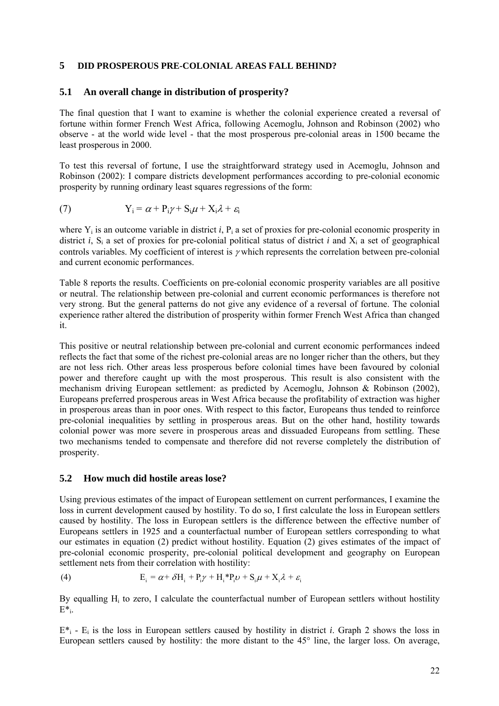#### **5 DID PROSPEROUS PRE-COLONIAL AREAS FALL BEHIND?**

#### **5.1 An overall change in distribution of prosperity?**

The final question that I want to examine is whether the colonial experience created a reversal of fortune within former French West Africa, following Acemoglu, Johnson and Robinson (2002) who observe - at the world wide level - that the most prosperous pre-colonial areas in 1500 became the least prosperous in 2000.

To test this reversal of fortune, I use the straightforward strategy used in Acemoglu, Johnson and Robinson (2002): I compare districts development performances according to pre-colonial economic prosperity by running ordinary least squares regressions of the form:

(7) 
$$
Y_i = \alpha + P_i \gamma + S_i \mu + X_i \lambda + \varepsilon_i
$$

where  $Y_i$  is an outcome variable in district *i*,  $P_i$  a set of proxies for pre-colonial economic prosperity in district *i*,  $S_i$  a set of proxies for pre-colonial political status of district *i* and  $X_i$  a set of geographical controls variables. My coefficient of interest is γ which represents the correlation between pre-colonial and current economic performances.

Table 8 reports the results. Coefficients on pre-colonial economic prosperity variables are all positive or neutral. The relationship between pre-colonial and current economic performances is therefore not very strong. But the general patterns do not give any evidence of a reversal of fortune. The colonial experience rather altered the distribution of prosperity within former French West Africa than changed it.

This positive or neutral relationship between pre-colonial and current economic performances indeed reflects the fact that some of the richest pre-colonial areas are no longer richer than the others, but they are not less rich. Other areas less prosperous before colonial times have been favoured by colonial power and therefore caught up with the most prosperous. This result is also consistent with the mechanism driving European settlement: as predicted by Acemoglu, Johnson & Robinson (2002), Europeans preferred prosperous areas in West Africa because the profitability of extraction was higher in prosperous areas than in poor ones. With respect to this factor, Europeans thus tended to reinforce pre-colonial inequalities by settling in prosperous areas. But on the other hand, hostility towards colonial power was more severe in prosperous areas and dissuaded Europeans from settling. These two mechanisms tended to compensate and therefore did not reverse completely the distribution of prosperity.

#### **5.2 How much did hostile areas lose?**

Using previous estimates of the impact of European settlement on current performances, I examine the loss in current development caused by hostility. To do so, I first calculate the loss in European settlers caused by hostility. The loss in European settlers is the difference between the effective number of Europeans settlers in 1925 and a counterfactual number of European settlers corresponding to what our estimates in equation (2) predict without hostility. Equation (2) gives estimates of the impact of pre-colonial economic prosperity, pre-colonial political development and geography on European settlement nets from their correlation with hostility:

(4) 
$$
E_i = \alpha + \delta H_i + P_i \gamma + H_i^* P_i \nu + S_i \mu + X_i \lambda + \varepsilon_i
$$

By equalling H<sub>i</sub> to zero, I calculate the counterfactual number of European settlers without hostility  $E^*$ .

 $E^*$ <sub>i</sub> - E<sub>i</sub> is the loss in European settlers caused by hostility in district *i*. Graph 2 shows the loss in European settlers caused by hostility: the more distant to the 45° line, the larger loss. On average,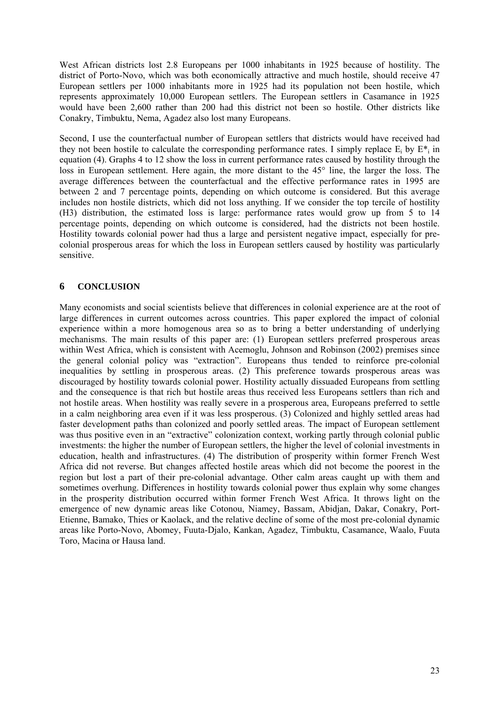West African districts lost 2.8 Europeans per 1000 inhabitants in 1925 because of hostility. The district of Porto-Novo, which was both economically attractive and much hostile, should receive 47 European settlers per 1000 inhabitants more in 1925 had its population not been hostile, which represents approximately 10,000 European settlers. The European settlers in Casamance in 1925 would have been 2,600 rather than 200 had this district not been so hostile. Other districts like Conakry, Timbuktu, Nema, Agadez also lost many Europeans.

Second, I use the counterfactual number of European settlers that districts would have received had they not been hostile to calculate the corresponding performance rates. I simply replace  $E_i$  by  $E^*$  in equation (4). Graphs 4 to 12 show the loss in current performance rates caused by hostility through the loss in European settlement. Here again, the more distant to the 45° line, the larger the loss. The average differences between the counterfactual and the effective performance rates in 1995 are between 2 and 7 percentage points, depending on which outcome is considered. But this average includes non hostile districts, which did not loss anything. If we consider the top tercile of hostility (H3) distribution, the estimated loss is large: performance rates would grow up from 5 to 14 percentage points, depending on which outcome is considered, had the districts not been hostile. Hostility towards colonial power had thus a large and persistent negative impact, especially for precolonial prosperous areas for which the loss in European settlers caused by hostility was particularly sensitive.

#### **6 CONCLUSION**

Many economists and social scientists believe that differences in colonial experience are at the root of large differences in current outcomes across countries. This paper explored the impact of colonial experience within a more homogenous area so as to bring a better understanding of underlying mechanisms. The main results of this paper are: (1) European settlers preferred prosperous areas within West Africa, which is consistent with Acemoglu, Johnson and Robinson (2002) premises since the general colonial policy was "extraction". Europeans thus tended to reinforce pre-colonial inequalities by settling in prosperous areas. (2) This preference towards prosperous areas was discouraged by hostility towards colonial power. Hostility actually dissuaded Europeans from settling and the consequence is that rich but hostile areas thus received less Europeans settlers than rich and not hostile areas. When hostility was really severe in a prosperous area, Europeans preferred to settle in a calm neighboring area even if it was less prosperous. (3) Colonized and highly settled areas had faster development paths than colonized and poorly settled areas. The impact of European settlement was thus positive even in an "extractive" colonization context, working partly through colonial public investments: the higher the number of European settlers, the higher the level of colonial investments in education, health and infrastructures. (4) The distribution of prosperity within former French West Africa did not reverse. But changes affected hostile areas which did not become the poorest in the region but lost a part of their pre-colonial advantage. Other calm areas caught up with them and sometimes overhung. Differences in hostility towards colonial power thus explain why some changes in the prosperity distribution occurred within former French West Africa. It throws light on the emergence of new dynamic areas like Cotonou, Niamey, Bassam, Abidjan, Dakar, Conakry, Port-Etienne, Bamako, Thies or Kaolack, and the relative decline of some of the most pre-colonial dynamic areas like Porto-Novo, Abomey, Fuuta-Djalo, Kankan, Agadez, Timbuktu, Casamance, Waalo, Fuuta Toro, Macina or Hausa land.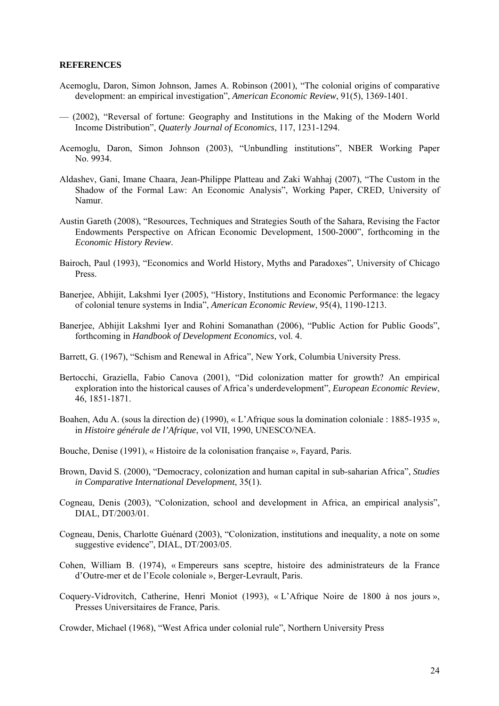#### **REFERENCES**

- Acemoglu, Daron, Simon Johnson, James A. Robinson (2001), "The colonial origins of comparative development: an empirical investigation", *American Economic Review*, 91(5), 1369-1401.
- (2002), "Reversal of fortune: Geography and Institutions in the Making of the Modern World Income Distribution", *Quaterly Journal of Economics*, 117, 1231-1294.
- Acemoglu, Daron, Simon Johnson (2003), "Unbundling institutions", NBER Working Paper No. 9934.
- Aldashev, Gani, Imane Chaara, Jean-Philippe Platteau and Zaki Wahhaj (2007), "The Custom in the Shadow of the Formal Law: An Economic Analysis", Working Paper, CRED, University of Namur.
- Austin Gareth (2008), "Resources, Techniques and Strategies South of the Sahara, Revising the Factor Endowments Perspective on African Economic Development, 1500-2000", forthcoming in the *Economic History Review*.
- Bairoch, Paul (1993), "Economics and World History, Myths and Paradoxes", University of Chicago Press.
- Banerjee, Abhijit, Lakshmi Iyer (2005), "History, Institutions and Economic Performance: the legacy of colonial tenure systems in India", *American Economic Review*, 95(4), 1190-1213.
- Banerjee, Abhijit Lakshmi Iyer and Rohini Somanathan (2006), "Public Action for Public Goods", forthcoming in *Handbook of Development Economics*, vol. 4.
- Barrett, G. (1967), "Schism and Renewal in Africa", New York, Columbia University Press.
- Bertocchi, Graziella, Fabio Canova (2001), "Did colonization matter for growth? An empirical exploration into the historical causes of Africa's underdevelopment", *European Economic Review*, 46, 1851-1871.
- Boahen, Adu A. (sous la direction de) (1990), « L'Afrique sous la domination coloniale : 1885-1935 », in *Histoire générale de l'Afrique*, vol VII, 1990, UNESCO/NEA.
- Bouche, Denise (1991), « Histoire de la colonisation française », Fayard, Paris.
- Brown, David S. (2000), "Democracy, colonization and human capital in sub-saharian Africa", *Studies in Comparative International Development*, 35(1).
- Cogneau, Denis (2003), "Colonization, school and development in Africa, an empirical analysis", DIAL, DT/2003/01.
- Cogneau, Denis, Charlotte Guénard (2003), "Colonization, institutions and inequality, a note on some suggestive evidence", DIAL, DT/2003/05.
- Cohen, William B. (1974), « Empereurs sans sceptre, histoire des administrateurs de la France d'Outre-mer et de l'Ecole coloniale », Berger-Levrault, Paris.
- Coquery-Vidrovitch, Catherine, Henri Moniot (1993), « L'Afrique Noire de 1800 à nos jours », Presses Universitaires de France, Paris.
- Crowder, Michael (1968), "West Africa under colonial rule", Northern University Press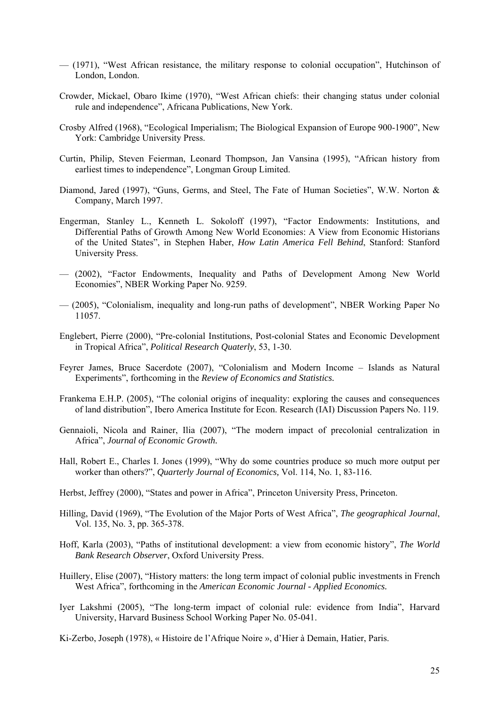- (1971), "West African resistance, the military response to colonial occupation", Hutchinson of London, London.
- Crowder, Mickael, Obaro Ikime (1970), "West African chiefs: their changing status under colonial rule and independence", Africana Publications, New York.
- Crosby Alfred (1968), "Ecological Imperialism; The Biological Expansion of Europe 900-1900", New York: Cambridge University Press.
- Curtin, Philip, Steven Feierman, Leonard Thompson, Jan Vansina (1995), "African history from earliest times to independence", Longman Group Limited.
- Diamond, Jared (1997), "Guns, Germs, and Steel, The Fate of Human Societies", W.W. Norton & Company, March 1997.
- Engerman, Stanley L., Kenneth L. Sokoloff (1997), "Factor Endowments: Institutions, and Differential Paths of Growth Among New World Economies: A View from Economic Historians of the United States", in Stephen Haber, *How Latin America Fell Behind*, Stanford: Stanford University Press.
- (2002), "Factor Endowments, Inequality and Paths of Development Among New World Economies", NBER Working Paper No. 9259.
- (2005), "Colonialism, inequality and long-run paths of development", NBER Working Paper No 11057.
- Englebert, Pierre (2000), "Pre-colonial Institutions, Post-colonial States and Economic Development in Tropical Africa", *Political Research Quaterly*, 53, 1-30.
- Feyrer James, Bruce Sacerdote (2007), "Colonialism and Modern Income Islands as Natural Experiments", forthcoming in the *Review of Economics and Statistics.*
- Frankema E.H.P. (2005), "The colonial origins of inequality: exploring the causes and consequences of land distribution", Ibero America Institute for Econ. Research (IAI) Discussion Papers No. 119.
- Gennaioli, Nicola and Rainer, Ilia (2007), "The modern impact of precolonial centralization in Africa", *Journal of Economic Growth.*
- Hall, Robert E., Charles I. Jones (1999), "Why do some countries produce so much more output per worker than others?", *Quarterly Journal of Economics,* Vol. 114, No. 1, 83-116.
- Herbst, Jeffrey (2000), "States and power in Africa", Princeton University Press, Princeton.
- Hilling, David (1969), "The Evolution of the Major Ports of West Africa", *The geographical Journal*, Vol. 135, No. 3, pp. 365-378.
- Hoff, Karla (2003), "Paths of institutional development: a view from economic history", *The World Bank Research Observer*, Oxford University Press.
- Huillery, Elise (2007), "History matters: the long term impact of colonial public investments in French West Africa", forthcoming in the *American Economic Journal - Applied Economics.*
- Iyer Lakshmi (2005), "The long-term impact of colonial rule: evidence from India", Harvard University, Harvard Business School Working Paper No. 05-041.
- Ki-Zerbo, Joseph (1978), « Histoire de l'Afrique Noire », d'Hier à Demain, Hatier, Paris.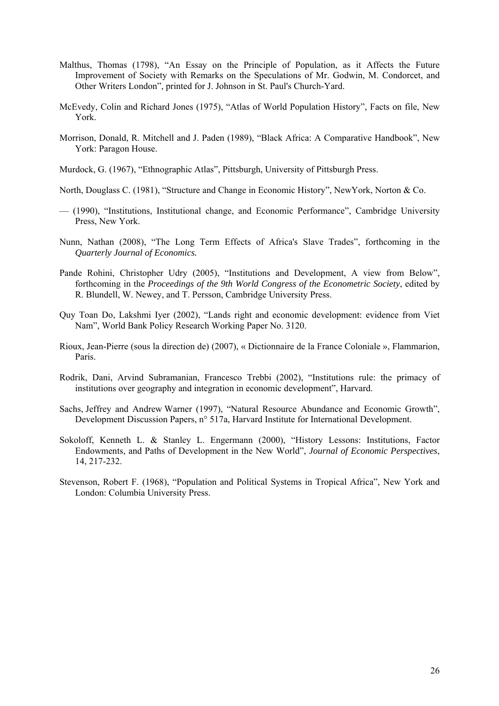- Malthus, Thomas (1798), "An Essay on the Principle of Population, as it Affects the Future Improvement of Society with Remarks on the Speculations of Mr. Godwin, M. Condorcet, and Other Writers London", printed for J. Johnson in St. Paul's Church-Yard.
- McEvedy, Colin and Richard Jones (1975), "Atlas of World Population History", Facts on file, New York.
- Morrison, Donald, R. Mitchell and J. Paden (1989), "Black Africa: A Comparative Handbook", New York: Paragon House.
- Murdock, G. (1967), "Ethnographic Atlas", Pittsburgh, University of Pittsburgh Press.
- North, Douglass C. (1981), "Structure and Change in Economic History", NewYork, Norton & Co.
- (1990), "Institutions, Institutional change, and Economic Performance", Cambridge University Press, New York.
- Nunn, Nathan (2008), "The Long Term Effects of Africa's Slave Trades", forthcoming in the *Quarterly Journal of Economics.*
- Pande Rohini, Christopher Udry (2005), "Institutions and Development, A view from Below", forthcoming in the *Proceedings of the 9th World Congress of the Econometric Society*, edited by R. Blundell, W. Newey, and T. Persson, Cambridge University Press.
- Quy Toan Do, Lakshmi Iyer (2002), "Lands right and economic development: evidence from Viet Nam", World Bank Policy Research Working Paper No. 3120.
- Rioux, Jean-Pierre (sous la direction de) (2007), « Dictionnaire de la France Coloniale », Flammarion, Paris.
- Rodrik, Dani, Arvind Subramanian, Francesco Trebbi (2002), "Institutions rule: the primacy of institutions over geography and integration in economic development", Harvard.
- Sachs, Jeffrey and Andrew Warner (1997), "Natural Resource Abundance and Economic Growth", Development Discussion Papers, n° 517a, Harvard Institute for International Development.
- Sokoloff, Kenneth L. & Stanley L. Engermann (2000), "History Lessons: Institutions, Factor Endowments, and Paths of Development in the New World", *Journal of Economic Perspectives*, 14, 217-232.
- Stevenson, Robert F. (1968), "Population and Political Systems in Tropical Africa", New York and London: Columbia University Press.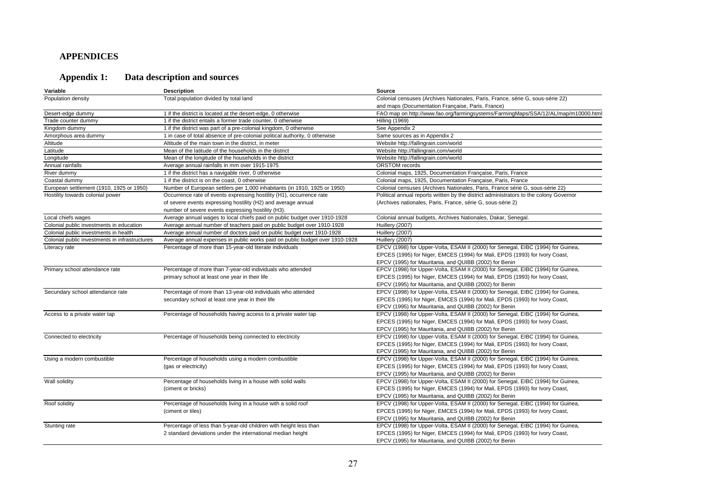#### **APPENDICES**

# **Appendix 1: Data description and sources**

| Variable                                       | <b>Description</b>                                                           | Source                                                                                 |
|------------------------------------------------|------------------------------------------------------------------------------|----------------------------------------------------------------------------------------|
| Population density                             | Total population divided by total land                                       | Colonial censuses (Archives Nationales, Paris, France, série G, sous-série 22)         |
|                                                |                                                                              | and maps (Documentation Française, Paris, France)                                      |
| Desert-edge dummy                              | 1 if the district is located at the desert-edge, 0 otherwise                 | FAO map on http://www.fao.org/farmingsystems/FarmingMaps/SSA/12/AL/map/m10000.html     |
| Trade counter dummy                            | 1 if the district entails a former trade counter, 0 otherwise                | <b>Hilling (1969)</b>                                                                  |
| Kingdom dummy                                  | 1 if the district was part of a pre-colonial kingdom, 0 otherwise            | See Appendix 2                                                                         |
| Amorphous area dummy                           | 1 in case of total absence of pre-colonial political authority, 0 otherwise  | Same sources as in Appendix 2                                                          |
| Altitude                                       | Altitude of the main town in the district, in meter                          | Website http://fallingrain.com/world                                                   |
| Latitude                                       | Mean of the latitude of the households in the district                       | Website http://fallingrain.com/world                                                   |
| Longitude                                      | Mean of the longitude of the households in the district                      | Website http://fallingrain.com/world                                                   |
| Annual rainfalls                               | Average annual rainfalls in mm over 1915-1975                                | <b>ORSTOM</b> records                                                                  |
| River dummy                                    | 1 if the district has a navigable river, 0 otherwise                         | Colonial maps, 1925, Documentation Française, Paris, France                            |
| Coastal dummy                                  | 1 if the district is on the coast, 0 otherwise                               | Colonial maps, 1925, Documentation Française, Paris, France                            |
| European settlement (1910, 1925 or 1950)       | Number of European settlers per 1,000 inhabitants (in 1910, 1925 or 1950)    | Colonial censuses (Archives Nationales, Paris, France série G, sous-série 22)          |
| Hostility towards colonial power               | Occurrence rate of events expressing hostility (H1), occurrence rate         | Political annual reports written by the district administrators to the colony Governor |
|                                                | of severe events expressing hostility (H2) and average annual                | (Archives nationales, Paris, France, série G, sous-série 2)                            |
|                                                | number of severe events expressing hostility (H3).                           |                                                                                        |
| Local chiefs wages                             | Average annual wages to local chiefs paid on public budget over 1910-1928    | Colonial annual budgets, Archives Nationales, Dakar, Senegal.                          |
| Colonial public investments in education       | Average annual number of teachers paid on public budget over 1910-1928       | Huillery (2007)                                                                        |
| Colonial public investments in health          | Average annual number of doctors paid on public budget over 1910-1928        | Huillery (2007)                                                                        |
| Colonial public investments in infrastructures | Average annual expenses in public works paid on public budget over 1910-1928 | Huillery (2007)                                                                        |
| Literacy rate                                  | Percentage of more than 15-year-old literate individuals                     | EPCV (1998) for Upper-Volta, ESAM II (2000) for Senegal, EIBC (1994) for Guinea,       |
|                                                |                                                                              | EPCES (1995) for Niger, EMCES (1994) for Mali, EPDS (1993) for Ivory Coast,            |
|                                                |                                                                              | EPCV (1995) for Mauritania, and QUIBB (2002) for Benin                                 |
| Primary school attendance rate                 | Percentage of more than 7-year-old individuals who attended                  | EPCV (1998) for Upper-Volta, ESAM II (2000) for Senegal, EIBC (1994) for Guinea,       |
|                                                | primary school at least one year in their life                               | EPCES (1995) for Niger, EMCES (1994) for Mali, EPDS (1993) for Ivory Coast,            |
|                                                |                                                                              | EPCV (1995) for Mauritania, and QUIBB (2002) for Benin                                 |
| Secundary school attendance rate               | Percentage of more than 13-year-old individuals who attended                 | EPCV (1998) for Upper-Volta, ESAM II (2000) for Senegal, EIBC (1994) for Guinea,       |
|                                                | secundary school at least one year in their life                             | EPCES (1995) for Niger, EMCES (1994) for Mali, EPDS (1993) for Ivory Coast,            |
|                                                |                                                                              | EPCV (1995) for Mauritania, and QUIBB (2002) for Benin                                 |
| Access to a private water tap                  | Percentage of households having access to a private water tap                | EPCV (1998) for Upper-Volta, ESAM II (2000) for Senegal, EIBC (1994) for Guinea,       |
|                                                |                                                                              | EPCES (1995) for Niger, EMCES (1994) for Mali, EPDS (1993) for Ivory Coast,            |
|                                                |                                                                              | EPCV (1995) for Mauritania, and QUIBB (2002) for Benin                                 |
| Connected to electricity                       | Percentage of households being connected to electricity                      | EPCV (1998) for Upper-Volta, ESAM II (2000) for Senegal, EIBC (1994) for Guinea,       |
|                                                |                                                                              | EPCES (1995) for Niger, EMCES (1994) for Mali, EPDS (1993) for Ivory Coast,            |
|                                                |                                                                              | EPCV (1995) for Mauritania, and QUIBB (2002) for Benin                                 |
| Using a modern combustible                     | Percentage of households using a modern combustible                          | EPCV (1998) for Upper-Volta, ESAM II (2000) for Senegal, EIBC (1994) for Guinea,       |
|                                                | (gas or electricity)                                                         | EPCES (1995) for Niger, EMCES (1994) for Mali, EPDS (1993) for Ivory Coast,            |
|                                                |                                                                              | EPCV (1995) for Mauritania, and QUIBB (2002) for Benin                                 |
| Wall solidity                                  | Percentage of households living in a house with solid walls                  | EPCV (1998) for Upper-Volta, ESAM II (2000) for Senegal, EIBC (1994) for Guinea,       |
|                                                | (ciment or bricks)                                                           | EPCES (1995) for Niger, EMCES (1994) for Mali, EPDS (1993) for Ivory Coast,            |
|                                                |                                                                              | EPCV (1995) for Mauritania, and QUIBB (2002) for Benin                                 |
| Roof solidity                                  | Percentage of households living in a house with a solid roof                 | EPCV (1998) for Upper-Volta, ESAM II (2000) for Senegal, EIBC (1994) for Guinea,       |
|                                                | (ciment or tiles)                                                            | EPCES (1995) for Niger, EMCES (1994) for Mali, EPDS (1993) for Ivory Coast,            |
|                                                |                                                                              | EPCV (1995) for Mauritania, and QUIBB (2002) for Benin                                 |
| Stunting rate                                  | Percentage of less than 5-year-old children with height less than            | EPCV (1998) for Upper-Volta, ESAM II (2000) for Senegal, EIBC (1994) for Guinea,       |
|                                                | 2 standard deviations under the international median height                  | EPCES (1995) for Niger, EMCES (1994) for Mali, EPDS (1993) for Ivory Coast,            |
|                                                |                                                                              | EPCV (1995) for Mauritania, and QUIBB (2002) for Benin                                 |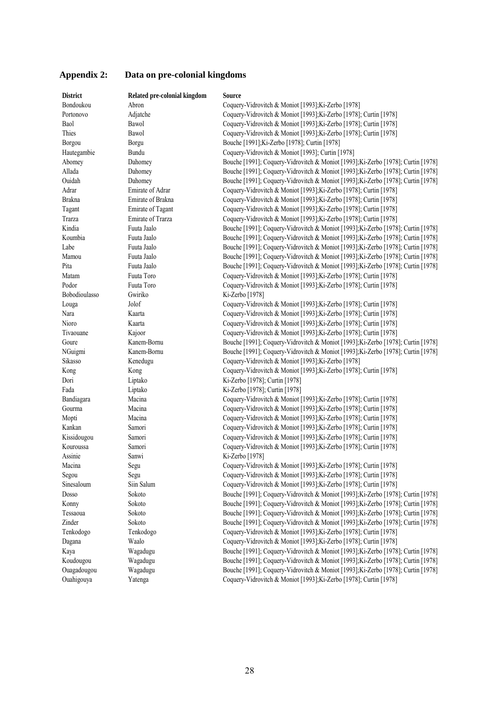| <b>District</b> | Related pre-colonial kingdom | <b>Source</b>                                                                     |
|-----------------|------------------------------|-----------------------------------------------------------------------------------|
| Bondoukou       | Abron                        | Coquery-Vidrovitch & Moniot [1993]; Ki-Zerbo [1978]                               |
| Portonovo       | Adjatche                     | Coquery-Vidrovitch & Moniot [1993]; Ki-Zerbo [1978]; Curtin [1978]                |
| Baol            | Bawol                        | Coquery-Vidrovitch & Moniot [1993]; Ki-Zerbo [1978]; Curtin [1978]                |
| Thies           | Bawol                        | Coquery-Vidrovitch & Moniot [1993]; Ki-Zerbo [1978]; Curtin [1978]                |
| Borgou          | Borgu                        | Bouche [1991]; Ki-Zerbo [1978]; Curtin [1978]                                     |
| Hautegambie     | <b>Bundu</b>                 | Coquery-Vidrovitch & Moniot [1993]; Curtin [1978]                                 |
| Abomey          | Dahomey                      | Bouche [1991]; Coquery-Vidrovitch & Moniot [1993]; Ki-Zerbo [1978]; Curtin [1978] |
| Allada          | Dahomey                      | Bouche [1991]; Coquery-Vidrovitch & Moniot [1993]; Ki-Zerbo [1978]; Curtin [1978] |
| Ouidah          | Dahomey                      | Bouche [1991]; Coquery-Vidrovitch & Moniot [1993]; Ki-Zerbo [1978]; Curtin [1978] |
| Adrar           | Emirate of Adrar             | Coquery-Vidrovitch & Moniot [1993]; Ki-Zerbo [1978]; Curtin [1978]                |
| <b>Brakna</b>   | Emirate of Brakna            | Coquery-Vidrovitch & Moniot [1993]; Ki-Zerbo [1978]; Curtin [1978]                |
| Tagant          | Emirate of Tagant            | Coquery-Vidrovitch & Moniot [1993]; Ki-Zerbo [1978]; Curtin [1978]                |
| Trarza          | Emirate of Trarza            | Coquery-Vidrovitch & Moniot [1993]; Ki-Zerbo [1978]; Curtin [1978]                |
| Kindia          | Fuuta Jaalo                  | Bouche [1991]; Coquery-Vidrovitch & Moniot [1993]; Ki-Zerbo [1978]; Curtin [1978] |
| Koumbia         | Fuuta Jaalo                  | Bouche [1991]; Coquery-Vidrovitch & Moniot [1993]; Ki-Zerbo [1978]; Curtin [1978] |
| Labe            | Fuuta Jaalo                  | Bouche [1991]; Coquery-Vidrovitch & Moniot [1993]; Ki-Zerbo [1978]; Curtin [1978] |
| Mamou           | Fuuta Jaalo                  | Bouche [1991]; Coquery-Vidrovitch & Moniot [1993]; Ki-Zerbo [1978]; Curtin [1978] |
| Pita            | Fuuta Jaalo                  | Bouche [1991]; Coquery-Vidrovitch & Moniot [1993]; Ki-Zerbo [1978]; Curtin [1978] |
| Matam           | Fuuta Toro                   | Coquery-Vidrovitch & Moniot [1993]; Ki-Zerbo [1978]; Curtin [1978]                |
| Podor           | Fuuta Toro                   | Coquery-Vidrovitch & Moniot [1993]; Ki-Zerbo [1978]; Curtin [1978]                |
| Bobodioulasso   | Gwiriko                      | Ki-Zerbo [1978]                                                                   |
| Louga           | Jolof                        | Coquery-Vidrovitch & Moniot [1993]; Ki-Zerbo [1978]; Curtin [1978]                |
| Nara            | Kaarta                       | Coquery-Vidrovitch & Moniot [1993]; Ki-Zerbo [1978]; Curtin [1978]                |
| Nioro           | Kaarta                       | Coquery-Vidrovitch & Moniot [1993]; Ki-Zerbo [1978]; Curtin [1978]                |
| Tivaouane       | Kajoor                       | Coquery-Vidrovitch & Moniot [1993]; Ki-Zerbo [1978]; Curtin [1978]                |
| Goure           | Kanem-Bornu                  | Bouche [1991]; Coquery-Vidrovitch & Moniot [1993]; Ki-Zerbo [1978]; Curtin [1978] |
| NGuigmi         | Kanem-Bornu                  | Bouche [1991]; Coquery-Vidrovitch & Moniot [1993]; Ki-Zerbo [1978]; Curtin [1978] |
| Sikasso         | Kenedugu                     | Coquery-Vidrovitch & Moniot [1993]; Ki-Zerbo [1978]                               |
| Kong            | Kong                         | Coquery-Vidrovitch & Moniot [1993]; Ki-Zerbo [1978]; Curtin [1978]                |
| Dori            | Liptako                      | Ki-Zerbo [1978]; Curtin [1978]                                                    |
| Fada            | Liptako                      | Ki-Zerbo [1978]; Curtin [1978]                                                    |
| Bandiagara      | Macina                       | Coquery-Vidrovitch & Moniot [1993]; Ki-Zerbo [1978]; Curtin [1978]                |
| Gourma          | Macina                       | Coquery-Vidrovitch & Moniot [1993]; Ki-Zerbo [1978]; Curtin [1978]                |
| Mopti           | Macina                       | Coquery-Vidrovitch & Moniot [1993]; Ki-Zerbo [1978]; Curtin [1978]                |
| Kankan          | Samori                       | Coquery-Vidrovitch & Moniot [1993]; Ki-Zerbo [1978]; Curtin [1978]                |
| Kissidougou     | Samori                       | Coquery-Vidrovitch & Moniot [1993]; Ki-Zerbo [1978]; Curtin [1978]                |
| Kouroussa       | Samori                       | Coquery-Vidrovitch & Moniot [1993]; Ki-Zerbo [1978]; Curtin [1978]                |
| Assinie         | Sanwi                        | Ki-Zerbo [1978]                                                                   |
| Macina          |                              | Coquery-Vidrovitch & Moniot [1993]; Ki-Zerbo [1978]; Curtin [1978]                |
|                 | Segu                         | Coquery-Vidrovitch & Moniot [1993]; Ki-Zerbo [1978]; Curtin [1978]                |
| Segou           | Segu                         | Coquery-Vidrovitch & Moniot [1993]; Ki-Zerbo [1978]; Curtin [1978]                |
| Sinesaloum      | Siin Salum                   | Bouche [1991]; Coquery-Vidrovitch & Moniot [1993]; Ki-Zerbo [1978]; Curtin [1978] |
| Dosso           | Sokoto                       | Bouche [1991]; Coquery-Vidrovitch & Moniot [1993]; Ki-Zerbo [1978]; Curtin [1978] |
| Konny           | Sokoto                       |                                                                                   |
| Tessaoua        | Sokoto                       | Bouche [1991]; Coquery-Vidrovitch & Moniot [1993]; Ki-Zerbo [1978]; Curtin [1978] |
| Zinder          | Sokoto                       | Bouche [1991]; Coquery-Vidrovitch & Moniot [1993]; Ki-Zerbo [1978]; Curtin [1978] |
| Tenkodogo       | Tenkodogo                    | Coquery-Vidrovitch & Moniot [1993]; Ki-Zerbo [1978]; Curtin [1978]                |
| Dagana          | Waalo                        | Coquery-Vidrovitch & Moniot [1993]; Ki-Zerbo [1978]; Curtin [1978]                |
| Kaya            | Wagadugu                     | Bouche [1991]; Coquery-Vidrovitch & Moniot [1993]; Ki-Zerbo [1978]; Curtin [1978] |
| Koudougou       | Wagadugu                     | Bouche [1991]; Coquery-Vidrovitch & Moniot [1993]; Ki-Zerbo [1978]; Curtin [1978] |
| Ouagadougou     | Wagadugu                     | Bouche [1991]; Coquery-Vidrovitch & Moniot [1993]; Ki-Zerbo [1978]; Curtin [1978] |
| Ouahigouya      | Yatenga                      | Coquery-Vidrovitch & Moniot [1993]; Ki-Zerbo [1978]; Curtin [1978]                |

# **Appendix 2: Data on pre-colonial kingdoms**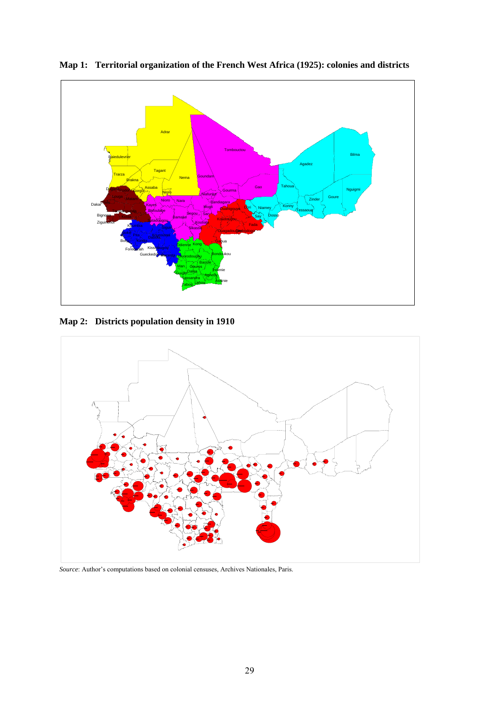

**Map 1: Territorial organization of the French West Africa (1925): colonies and districts** 

**Map 2: Districts population density in 1910** 



*Source*: Author's computations based on colonial censuses, Archives Nationales, Paris.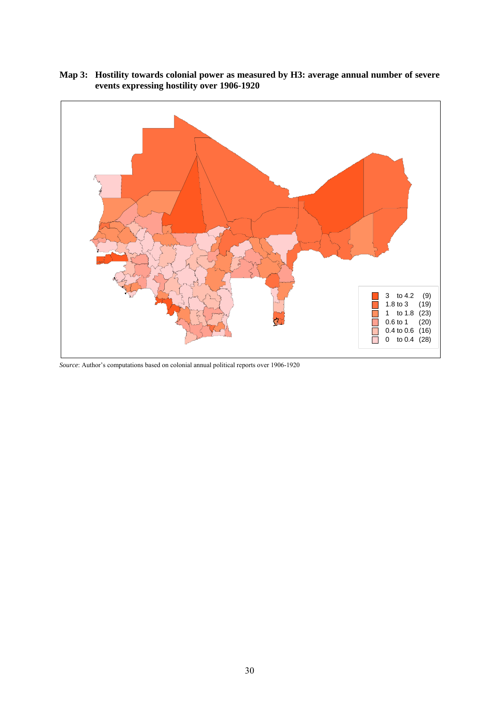

**Map 3: Hostility towards colonial power as measured by H3: average annual number of severe events expressing hostility over 1906-1920** 

*Source*: Author's computations based on colonial annual political reports over 1906-1920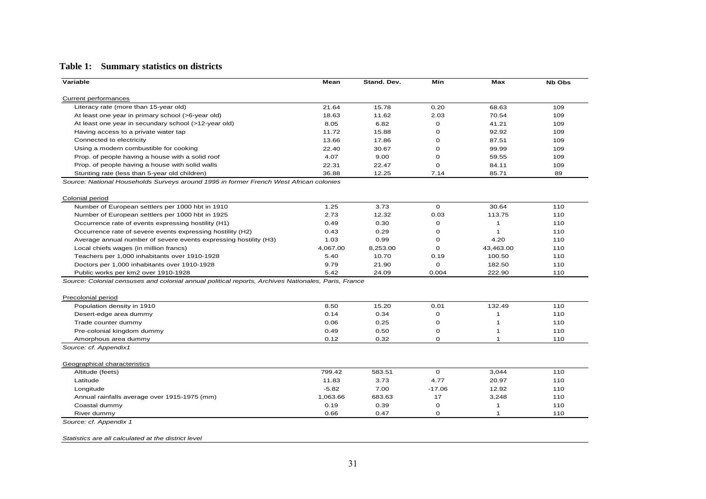## **Table 1: Summary statistics on districts**

| Variable                                                                                            | Mean         | Stand. Dev.  | Min           | Max               | <b>Nb Obs</b> |
|-----------------------------------------------------------------------------------------------------|--------------|--------------|---------------|-------------------|---------------|
| <b>Current performances</b>                                                                         |              |              |               |                   |               |
| Literacy rate (more than 15-year old)                                                               | 21.64        | 15.78        | 0.20          | 68.63             | 109           |
| At least one year in primary school (>6-year old)                                                   | 18.63        | 11.62        | 2.03          | 70.54             | 109           |
| At least one year in secundary school (>12-year old)                                                | 8.05         | 6.82         | 0             | 41.21             | 109           |
| Having access to a private water tap                                                                | 11.72        | 15.88        | $\mathbf 0$   | 92.92             | 109           |
| Connected to electricity                                                                            | 13.66        | 17.86        | 0             | 87.51             | 109           |
| Using a modern combustible for cooking                                                              | 22.40        | 30.67        | $\Omega$      | 99.99             | 109           |
| Prop. of people having a house with a solid roof                                                    | 4.07         | 9.00         | 0             | 59.55             | 109           |
| Prop. of people having a house with solid walls                                                     | 22.31        | 22.47        | $\mathbf 0$   | 84.11             | 109           |
| Stunting rate (less than 5-year old children)                                                       | 36.88        | 12.25        | 7.14          | 85.71             | 89            |
| Source: National Households Surveys around 1995 in former French West African colonies              |              |              |               |                   |               |
|                                                                                                     |              |              |               |                   |               |
| Colonial period                                                                                     |              |              |               |                   |               |
| Number of European settlers per 1000 hbt in 1910                                                    | 1.25         | 3.73         | $\mathbf 0$   | 30.64             | 110           |
| Number of European settlers per 1000 hbt in 1925                                                    | 2.73         | 12.32        | 0.03          | 113.75            | 110           |
| Occurrence rate of events expressing hostility (H1)                                                 | 0.49         | 0.30         | 0             | 1                 | 110           |
| Occurrence rate of severe events expressing hostility (H2)                                          | 0.43         | 0.29         | 0             | -1                | 110           |
| Average annual number of severe events expressing hostility (H3)                                    | 1.03         | 0.99         | 0             | 4.20              | 110           |
| Local chiefs wages (in million francs)                                                              | 4,067.00     | 8,253.00     | $\mathbf 0$   | 43,463.00         | 110           |
| Teachers per 1,000 inhabitants over 1910-1928                                                       | 5.40         | 10.70        | 0.19          | 100.50            | 110           |
| Doctors per 1,000 inhabitants over 1910-1928                                                        | 9.79         | 21.90        | 0             | 182.50            | 110           |
| Public works per km2 over 1910-1928                                                                 | 5.42         | 24.09        | 0.004         | 222.90            | 110           |
| Source: Colonial censuses and colonial annual political reports, Archives Nationales, Paris, France |              |              |               |                   |               |
|                                                                                                     |              |              |               |                   |               |
| Precolonial period                                                                                  |              |              |               |                   |               |
| Population density in 1910                                                                          | 8.50         | 15.20        | 0.01          | 132.49            | 110           |
| Desert-edge area dummy                                                                              | 0.14         | 0.34         | $\mathbf 0$   |                   | 110           |
| Trade counter dummy                                                                                 | 0.06         | 0.25         | 0             | -1                | 110           |
| Pre-colonial kingdom dummy                                                                          | 0.49         | 0.50         | 0             | 1                 | 110           |
| Amorphous area dummy                                                                                | 0.12         | 0.32         | 0             | $\mathbf{1}$      | 110           |
| Source: cf. Appendix1                                                                               |              |              |               |                   |               |
|                                                                                                     |              |              |               |                   |               |
| Geographical characteristics                                                                        |              |              |               |                   |               |
| Altitude (feets)                                                                                    | 799.42       | 583.51       | $\mathbf 0$   | 3,044             | 110           |
| Latitude                                                                                            | 11.83        | 3.73         | 4.77          | 20.97             | 110           |
|                                                                                                     |              |              | $-17.06$      | 12.92             | 110           |
| Longitude                                                                                           | $-5.82$      | 7.00         |               |                   |               |
| Annual rainfalls average over 1915-1975 (mm)                                                        | 1,063.66     | 683.63       | 17            | 3,248             | 110           |
| Coastal dummy<br>River dummy                                                                        | 0.19<br>0.66 | 0.39<br>0.47 | 0<br>$\Omega$ | 1<br>$\mathbf{1}$ | 110<br>110    |

*Statistics are all calculated at the district level*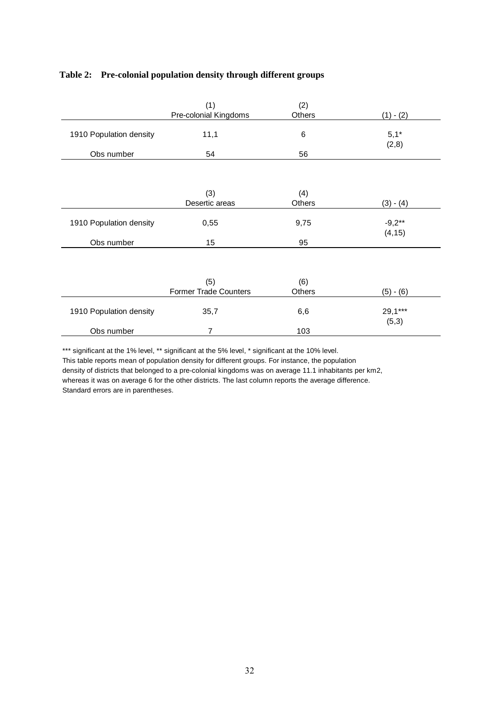|                         | (1)                          | (2)    |             |
|-------------------------|------------------------------|--------|-------------|
|                         | Pre-colonial Kingdoms        | Others | $(1) - (2)$ |
|                         |                              |        |             |
| 1910 Population density | 11,1                         | 6      | $5,1*$      |
|                         |                              |        | (2,8)       |
| Obs number              | 54                           | 56     |             |
|                         |                              |        |             |
|                         |                              |        |             |
|                         |                              |        |             |
|                         | (3)                          | (4)    |             |
|                         | Desertic areas               | Others | $(3) - (4)$ |
|                         |                              |        |             |
| 1910 Population density | 0,55                         | 9,75   | $-9,2**$    |
|                         |                              |        | (4, 15)     |
| Obs number              | 15                           | 95     |             |
|                         |                              |        |             |
|                         |                              |        |             |
|                         |                              |        |             |
|                         | (5)                          | (6)    |             |
|                         | <b>Former Trade Counters</b> | Others | $(5) - (6)$ |
|                         |                              |        |             |
| 1910 Population density | 35,7                         | 6,6    | $29,1***$   |
|                         |                              |        | (5,3)       |
| Obs number              | $\overline{7}$               | 103    |             |

#### **Table 2: Pre-colonial population density through different groups**

\*\*\* significant at the 1% level, \*\* significant at the 5% level, \* significant at the 10% level. This table reports mean of population density for different groups. For instance, the population density of districts that belonged to a pre-colonial kingdoms was on average 11.1 inhabitants per km2, whereas it was on average 6 for the other districts. The last column reports the average difference. Standard errors are in parentheses.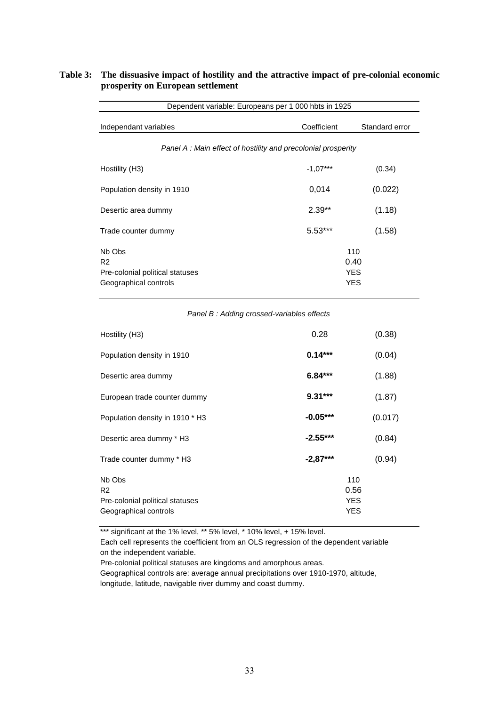| Dependent variable: Europeans per 1 000 hbts in 1925                                 |                                                              |                                         |  |  |  |  |  |
|--------------------------------------------------------------------------------------|--------------------------------------------------------------|-----------------------------------------|--|--|--|--|--|
| Independant variables                                                                | Coefficient                                                  | Standard error                          |  |  |  |  |  |
|                                                                                      | Panel A: Main effect of hostility and precolonial prosperity |                                         |  |  |  |  |  |
| Hostility (H3)                                                                       | $-1.07***$                                                   | (0.34)                                  |  |  |  |  |  |
| Population density in 1910                                                           | 0,014                                                        | (0.022)                                 |  |  |  |  |  |
| Desertic area dummy                                                                  | $2.39**$                                                     | (1.18)                                  |  |  |  |  |  |
| Trade counter dummy                                                                  | $5.53***$                                                    | (1.58)                                  |  |  |  |  |  |
| Nb Obs<br>R <sub>2</sub><br>Pre-colonial political statuses<br>Geographical controls |                                                              | 110<br>0.40<br><b>YES</b><br><b>YES</b> |  |  |  |  |  |

#### **Table 3: The dissuasive impact of hostility and the attractive impact of pre-colonial economic prosperity on European settlement**

#### *Panel B : Adding crossed-variables effects*

| Hostility (H3)                                                                       | 0.28       |                                  | (0.38)  |
|--------------------------------------------------------------------------------------|------------|----------------------------------|---------|
| Population density in 1910                                                           | $0.14***$  |                                  | (0.04)  |
| Desertic area dummy                                                                  | $6.84***$  |                                  | (1.88)  |
| European trade counter dummy                                                         | $9.31***$  |                                  | (1.87)  |
| Population density in 1910 * H3                                                      | $-0.05***$ |                                  | (0.017) |
| Desertic area dummy * H3                                                             | $-2.55***$ |                                  | (0.84)  |
| Trade counter dummy * H3                                                             | $-2,87***$ |                                  | (0.94)  |
| Nb Obs<br>R <sub>2</sub><br>Pre-colonial political statuses<br>Geographical controls |            | 110<br>0.56<br><b>YES</b><br>YES |         |

\*\*\* significant at the 1% level, \*\* 5% level, \* 10% level, + 15% level.

Each cell represents the coefficient from an OLS regression of the dependent variable on the independent variable.

Pre-colonial political statuses are kingdoms and amorphous areas.

Geographical controls are: average annual precipitations over 1910-1970, altitude, longitude, latitude, navigable river dummy and coast dummy.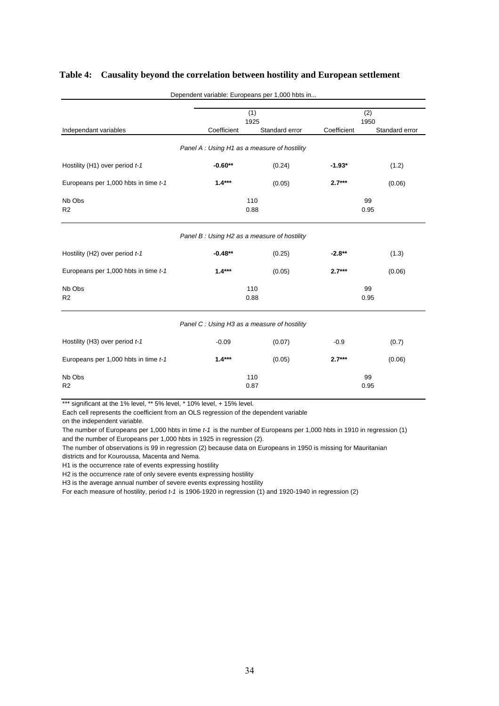|                                                       |                                             | Dependent variable: Europeans per 1,000 hbts in |             |                |  |
|-------------------------------------------------------|---------------------------------------------|-------------------------------------------------|-------------|----------------|--|
|                                                       |                                             | (1)<br>1925                                     |             | (2)<br>1950    |  |
| Independant variables                                 | Coefficient                                 | Standard error                                  | Coefficient | Standard error |  |
|                                                       | Panel A: Using H1 as a measure of hostility |                                                 |             |                |  |
| Hostility (H1) over period t-1                        | $-0.60**$                                   | (0.24)                                          | $-1.93*$    | (1.2)          |  |
| Europeans per 1,000 hbts in time t-1                  | $1.4***$                                    | (0.05)                                          | $2.7***$    | (0.06)         |  |
| Nb Obs<br>R <sub>2</sub>                              | 110<br>0.88                                 |                                                 |             | 99<br>0.95     |  |
|                                                       | Panel B: Using H2 as a measure of hostility |                                                 |             |                |  |
| Hostility (H2) over period t-1                        | $-0.48**$                                   | (0.25)                                          | $-2.8**$    | (1.3)          |  |
| Europeans per 1,000 hbts in time t-1                  | $1.4***$                                    | (0.05)                                          | $2.7***$    | (0.06)         |  |
| Nb Obs<br>R <sub>2</sub>                              | 110<br>0.88                                 |                                                 |             | 99<br>0.95     |  |
|                                                       | Panel C: Using H3 as a measure of hostility |                                                 |             |                |  |
| Hostility (H3) over period t-1                        | $-0.09$                                     | (0.07)                                          | $-0.9$      | (0.7)          |  |
| Europeans per 1,000 hbts in time t-1                  | $1.4***$                                    | (0.05)                                          | $2.7***$    | (0.06)         |  |
| Nb Obs<br>110<br>99<br>R <sub>2</sub><br>0.87<br>0.95 |                                             |                                                 |             |                |  |

#### **Table 4: Causality beyond the correlation between hostility and European settlement**

\*\*\* significant at the 1% level, \*\* 5% level, \* 10% level, + 15% level.

Each cell represents the coefficient from an OLS regression of the dependent variable

on the independent variable.

The number of Europeans per 1,000 hbts in time *t-1* is the number of Europeans per 1,000 hbts in 1910 in regression (1) and the number of Europeans per 1,000 hbts in 1925 in regression (2).

The number of observations is 99 in regression (2) because data on Europeans in 1950 is missing for Mauritanian

districts and for Kouroussa, Macenta and Nema.

H1 is the occurrence rate of events expressing hostility

H2 is the occurrence rate of only severe events expressing hostility

H3 is the average annual number of severe events expressing hostility

For each measure of hostility, period *t-1* is 1906-1920 in regression (1) and 1920-1940 in regression (2)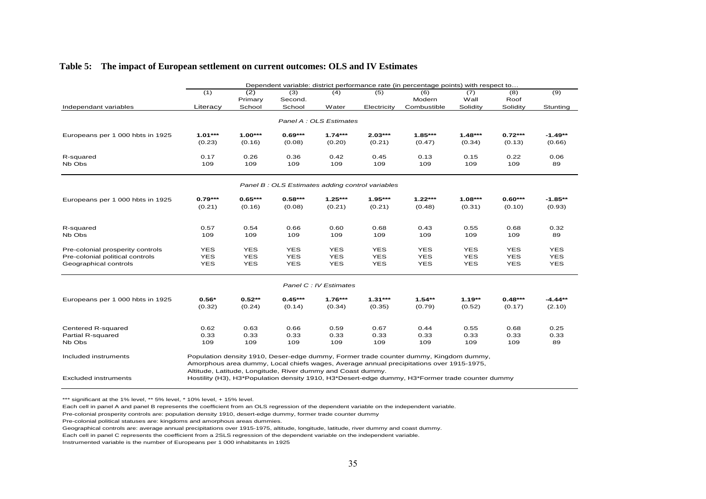|                                  | Dependent variable: district performance rate (in percentage points) with respect to |                    |                                                             |                        |                                                 |                                                                                                 |            |                     |                   |  |  |
|----------------------------------|--------------------------------------------------------------------------------------|--------------------|-------------------------------------------------------------|------------------------|-------------------------------------------------|-------------------------------------------------------------------------------------------------|------------|---------------------|-------------------|--|--|
|                                  | (1)                                                                                  | (2)                | (3)                                                         | (4)                    | (5)                                             | (6)                                                                                             | (7)        | (8)                 | (9)               |  |  |
|                                  |                                                                                      | Primary            | Second.                                                     |                        |                                                 | Modern                                                                                          | Wall       | Roof                |                   |  |  |
| Independant variables            | Literacy                                                                             | School             | School                                                      | Water                  | Electricity                                     | Combustible                                                                                     | Solidity   | Solidity            | Stunting          |  |  |
|                                  |                                                                                      |                    |                                                             | Panel A: OLS Estimates |                                                 |                                                                                                 |            |                     |                   |  |  |
|                                  |                                                                                      |                    |                                                             |                        |                                                 |                                                                                                 |            |                     |                   |  |  |
| Europeans per 1 000 hbts in 1925 | $1.01***$                                                                            | $1.00***$          | $0.69***$                                                   | $1.74***$              | $2.03***$                                       | $1.85***$                                                                                       | $1.48***$  | $0.72***$           | -1.49**           |  |  |
|                                  | (0.23)                                                                               | (0.16)             | (0.08)                                                      | (0.20)                 | (0.21)                                          | (0.47)                                                                                          | (0.34)     | (0.13)              | (0.66)            |  |  |
| R-squared                        | 0.17                                                                                 | 0.26               | 0.36                                                        | 0.42                   | 0.45                                            | 0.13                                                                                            | 0.15       | 0.22                | 0.06              |  |  |
| Nb Obs                           | 109                                                                                  | 109                | 109                                                         | 109                    | 109                                             | 109                                                                                             | 109        | 109                 | 89                |  |  |
|                                  |                                                                                      |                    |                                                             |                        |                                                 |                                                                                                 |            |                     |                   |  |  |
|                                  |                                                                                      |                    |                                                             |                        | Panel B: OLS Estimates adding control variables |                                                                                                 |            |                     |                   |  |  |
| Europeans per 1 000 hbts in 1925 | $0.79***$                                                                            | $0.65***$          | $0.58***$                                                   | $1.25***$              | $1.95***$                                       | $1.22***$                                                                                       | $1.08***$  | $0.60***$           | -1.85**           |  |  |
|                                  | (0.21)                                                                               | (0.16)             | (0.08)                                                      | (0.21)                 | (0.21)                                          | (0.48)                                                                                          | (0.31)     | (0.10)              | (0.93)            |  |  |
|                                  |                                                                                      |                    |                                                             |                        |                                                 |                                                                                                 |            |                     |                   |  |  |
| R-squared                        | 0.57                                                                                 | 0.54               | 0.66                                                        | 0.60                   | 0.68                                            | 0.43                                                                                            | 0.55       | 0.68                | 0.32              |  |  |
| Nb Obs                           | 109                                                                                  | 109                | 109                                                         | 109                    | 109                                             | 109                                                                                             | 109        | 109                 | 89                |  |  |
| Pre-colonial prosperity controls | <b>YES</b>                                                                           | <b>YES</b>         | <b>YES</b>                                                  | <b>YES</b>             | <b>YES</b>                                      | <b>YES</b>                                                                                      | <b>YES</b> | <b>YES</b>          | <b>YES</b>        |  |  |
| Pre-colonial political controls  | <b>YES</b>                                                                           | <b>YES</b>         | <b>YES</b>                                                  | <b>YES</b>             | <b>YES</b>                                      | <b>YES</b>                                                                                      | <b>YES</b> | <b>YES</b>          | <b>YES</b>        |  |  |
| Geographical controls            | <b>YES</b>                                                                           | <b>YES</b>         | <b>YES</b>                                                  | <b>YES</b>             | <b>YES</b>                                      | <b>YES</b>                                                                                      | <b>YES</b> | <b>YES</b>          | <b>YES</b>        |  |  |
|                                  |                                                                                      |                    |                                                             | Panel C: IV Estimates  |                                                 |                                                                                                 |            |                     |                   |  |  |
|                                  |                                                                                      |                    |                                                             |                        | $1.31***$                                       |                                                                                                 | $1.19**$   |                     |                   |  |  |
| Europeans per 1 000 hbts in 1925 | $0.56*$<br>(0.32)                                                                    | $0.52**$<br>(0.24) | $0.45***$<br>(0.14)                                         | $1.76***$<br>(0.34)    | (0.35)                                          | $1.54**$<br>(0.79)                                                                              | (0.52)     | $0.48***$<br>(0.17) | -4.44**<br>(2.10) |  |  |
|                                  |                                                                                      |                    |                                                             |                        |                                                 |                                                                                                 |            |                     |                   |  |  |
| Centered R-squared               | 0.62                                                                                 | 0.63               | 0.66                                                        | 0.59                   | 0.67                                            | 0.44                                                                                            | 0.55       | 0.68                | 0.25              |  |  |
| Partial R-squared                | 0.33                                                                                 | 0.33               | 0.33                                                        | 0.33                   | 0.33                                            | 0.33                                                                                            | 0.33       | 0.33                | 0.33              |  |  |
| Nb Obs                           | 109                                                                                  | 109                | 109                                                         | 109                    | 109                                             | 109                                                                                             | 109        | 109                 | 89                |  |  |
| Included instruments             |                                                                                      |                    |                                                             |                        |                                                 | Population density 1910, Deser-edge dummy, Former trade counter dummy, Kingdom dummy,           |            |                     |                   |  |  |
|                                  |                                                                                      |                    |                                                             |                        |                                                 | Amorphous area dummy, Local chiefs wages, Average annual precipitations over 1915-1975,         |            |                     |                   |  |  |
|                                  |                                                                                      |                    | Altitude, Latitude, Longitude, River dummy and Coast dummy. |                        |                                                 |                                                                                                 |            |                     |                   |  |  |
| <b>Excluded instruments</b>      |                                                                                      |                    |                                                             |                        |                                                 | Hostility (H3), H3*Population density 1910, H3*Desert-edge dummy, H3*Former trade counter dummy |            |                     |                   |  |  |

\*\*\* significant at the 1% level, \*\* 5% level, \* 10% level, + 15% level.

Each cell in panel A and panel B represents the coefficient from an OLS regression of the dependent variable on the independent variable.

Pre-colonial prosperity controls are: population density 1910, desert-edge dummy, former trade counter dummy

Pre-colonial political statuses are: kingdoms and amorphous areas dummies.

Geographical controls are: average annual precipitations over 1915-1975, altitude, longitude, latitude, river dummy and coast dummy.

Each cell in panel C represents the coefficient from a 2SLS regression of the dependent variable on the independent variable.

Instrumented variable is the number of Europeans per 1 000 inhabitants in 1925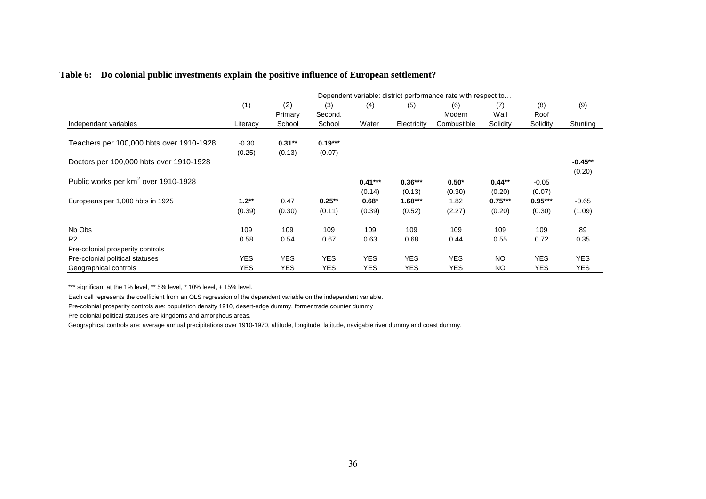|                                                                                              | Dependent variable: district performance rate with respect to |                          |                          |                          |                          |                          |                        |                          |                          |
|----------------------------------------------------------------------------------------------|---------------------------------------------------------------|--------------------------|--------------------------|--------------------------|--------------------------|--------------------------|------------------------|--------------------------|--------------------------|
|                                                                                              | (1)                                                           | (2)<br>Primary           | (3)<br>Second.           | (4)                      | (5)                      | (6)<br>Modern            | (7)<br>Wall            | (8)<br>Roof              | (9)                      |
| Independant variables                                                                        | Literacy                                                      | School                   | School                   | Water                    | Electricity              | Combustible              | Solidity               | Solidity                 | Stunting                 |
| Teachers per 100,000 hbts over 1910-1928                                                     | $-0.30$<br>(0.25)                                             | $0.31**$<br>(0.13)       | $0.19***$<br>(0.07)      |                          |                          |                          |                        |                          |                          |
| Doctors per 100,000 hbts over 1910-1928                                                      |                                                               |                          |                          |                          |                          |                          |                        |                          | $-0.45**$<br>(0.20)      |
| Public works per km <sup>2</sup> over 1910-1928                                              |                                                               |                          |                          | $0.41***$<br>(0.14)      | $0.36***$<br>(0.13)      | $0.50*$<br>(0.30)        | $0.44**$<br>(0.20)     | $-0.05$<br>(0.07)        |                          |
| Europeans per 1,000 hbts in 1925                                                             | $1.2**$<br>(0.39)                                             | 0.47<br>(0.30)           | $0.25***$<br>(0.11)      | $0.68*$<br>(0.39)        | $1.68***$<br>(0.52)      | 1.82<br>(2.27)           | $0.75***$<br>(0.20)    | $0.95***$<br>(0.30)      | $-0.65$<br>(1.09)        |
| Nb Obs<br>R <sub>2</sub>                                                                     | 109<br>0.58                                                   | 109<br>0.54              | 109<br>0.67              | 109<br>0.63              | 109<br>0.68              | 109<br>0.44              | 109<br>0.55            | 109<br>0.72              | 89<br>0.35               |
| Pre-colonial prosperity controls<br>Pre-colonial political statuses<br>Geographical controls | <b>YES</b><br><b>YES</b>                                      | <b>YES</b><br><b>YES</b> | <b>YES</b><br><b>YES</b> | <b>YES</b><br><b>YES</b> | <b>YES</b><br><b>YES</b> | <b>YES</b><br><b>YES</b> | <b>NO</b><br><b>NO</b> | <b>YES</b><br><b>YES</b> | <b>YES</b><br><b>YES</b> |

#### **Table 6: Do colonial public investments explain the positive influence of European settlement?**

\*\*\* significant at the 1% level, \*\* 5% level, \* 10% level, + 15% level.

Each cell represents the coefficient from an OLS regression of the dependent variable on the independent variable.

Pre-colonial prosperity controls are: population density 1910, desert-edge dummy, former trade counter dummy

Pre-colonial political statuses are kingdoms and amorphous areas.

Geographical controls are: average annual precipitations over 1910-1970, altitude, longitude, latitude, navigable river dummy and coast dummy.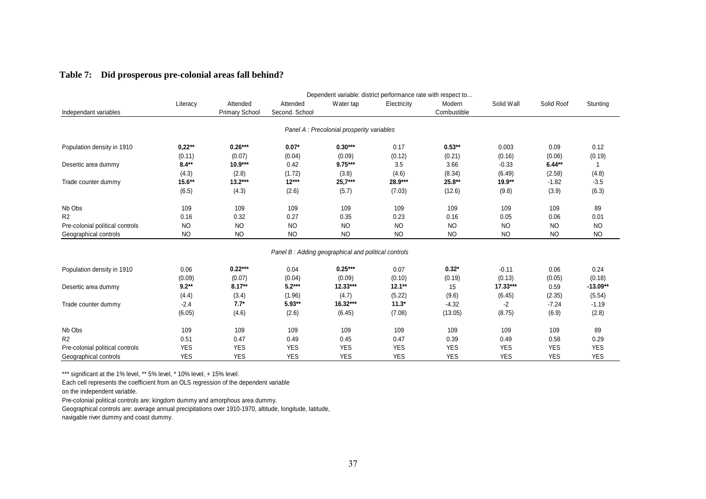|  |  |  | Table 7: Did prosperous pre-colonial areas fall behind? |
|--|--|--|---------------------------------------------------------|
|--|--|--|---------------------------------------------------------|

|                                 |            | Dependent variable: district performance rate with respect to |                                                     |                                           |             |             |            |                                                                                                                                                                                                                                                                                      |            |  |  |
|---------------------------------|------------|---------------------------------------------------------------|-----------------------------------------------------|-------------------------------------------|-------------|-------------|------------|--------------------------------------------------------------------------------------------------------------------------------------------------------------------------------------------------------------------------------------------------------------------------------------|------------|--|--|
|                                 | Literacy   | Attended                                                      | Attended                                            | Water tap                                 | Electricity | Modern      | Solid Wall | Solid Roof                                                                                                                                                                                                                                                                           | Stunting   |  |  |
| Independant variables           |            | <b>Primary School</b>                                         | Second. School                                      |                                           |             | Combustible |            |                                                                                                                                                                                                                                                                                      |            |  |  |
|                                 |            |                                                               |                                                     |                                           |             |             |            |                                                                                                                                                                                                                                                                                      |            |  |  |
|                                 |            |                                                               |                                                     | Panel A: Precolonial prosperity variables |             |             |            |                                                                                                                                                                                                                                                                                      |            |  |  |
| Population density in 1910      | $0,22**$   | $0.26***$                                                     | $0.07*$                                             | $0.30***$                                 | 0.17        | $0.53**$    | 0.003      | 0.09                                                                                                                                                                                                                                                                                 | 0.12       |  |  |
|                                 | (0.11)     | (0.07)                                                        | (0.04)                                              | (0.09)                                    | (0.12)      | (0.21)      | (0.16)     | (0.06)                                                                                                                                                                                                                                                                               | (0.19)     |  |  |
| Desertic area dummy             | $8.4**$    | $10.9***$                                                     | 0.42                                                | $9.75***$                                 | 3.5         | 3.66        | $-0.33$    | $6.44**$                                                                                                                                                                                                                                                                             | 1          |  |  |
|                                 | (4.3)      | (2.8)                                                         | (1.72)                                              | (3.8)                                     | (4.6)       | (8.34)      | (6.49)     | (2.58)<br>19.9**<br>$-1.82$<br>(9.8)<br>(3.9)<br>109<br>109<br>0.05<br>0.06<br><b>NO</b><br><b>NO</b><br><b>NO</b><br><b>NO</b><br>$-0.11$<br>0.06<br>(0.13)<br>(0.05)<br>$17.33***$<br>0.59<br>(6.45)<br>(2.35)<br>$-2$<br>$-7.24$<br>(8.75)<br>(6.9)<br>109<br>109<br>0.49<br>0.58 | (4.8)      |  |  |
| Trade counter dummy             | 15.6**     | $13.2***$                                                     | $12***$                                             | $25,7***$                                 | 28.9***     | 25.8**      |            |                                                                                                                                                                                                                                                                                      | $-3.5$     |  |  |
|                                 | (6.5)      | (4.3)                                                         | (2.6)                                               | (5.7)                                     | (7.03)      | (12.6)      |            |                                                                                                                                                                                                                                                                                      | (6.3)      |  |  |
| Nb Obs                          | 109        | 109                                                           | 109                                                 | 109                                       | 109         | 109         |            |                                                                                                                                                                                                                                                                                      | 89         |  |  |
| R <sub>2</sub>                  | 0.16       | 0.32                                                          | 0.27                                                | 0.35                                      | 0.23        | 0.16        |            |                                                                                                                                                                                                                                                                                      | 0.01       |  |  |
| Pre-colonial political controls | <b>NO</b>  | <b>NO</b>                                                     | <b>NO</b>                                           | <b>NO</b>                                 | <b>NO</b>   | <b>NO</b>   |            |                                                                                                                                                                                                                                                                                      | <b>NO</b>  |  |  |
| Geographical controls           | <b>NO</b>  | <b>NO</b>                                                     | <b>NO</b>                                           | <b>NO</b>                                 | <b>NO</b>   | <b>NO</b>   |            |                                                                                                                                                                                                                                                                                      | <b>NO</b>  |  |  |
|                                 |            |                                                               | Panel B: Adding geographical and political controls |                                           |             |             |            |                                                                                                                                                                                                                                                                                      |            |  |  |
| Population density in 1910      | 0.06       | $0.22***$                                                     | 0.04                                                | $0.25***$                                 | 0.07        | $0.32*$     |            |                                                                                                                                                                                                                                                                                      | 0.24       |  |  |
|                                 | (0.09)     | (0.07)                                                        | (0.04)                                              | (0.09)                                    | (0.10)      | (0.19)      |            |                                                                                                                                                                                                                                                                                      | (0.18)     |  |  |
| Desertic area dummy             | $9.2**$    | $8.17**$                                                      | $5.2***$                                            | $12.33***$                                | $12.1**$    | 15          |            |                                                                                                                                                                                                                                                                                      | $-13.09**$ |  |  |
|                                 | (4.4)      | (3.4)                                                         | (1.96)                                              | (4.7)                                     | (5.22)      | (9.6)       |            |                                                                                                                                                                                                                                                                                      | (5.54)     |  |  |
| Trade counter dummy             | $-2.4$     | $7.7*$                                                        | 5.93**                                              | 16.32***                                  | $11.3*$     | $-4.32$     |            |                                                                                                                                                                                                                                                                                      | $-1.19$    |  |  |
|                                 | (6.05)     | (4.6)                                                         | (2.6)                                               | (6.45)                                    | (7.08)      | (13.05)     |            |                                                                                                                                                                                                                                                                                      | (2.8)      |  |  |
| Nb Obs                          | 109        | 109                                                           | 109                                                 | 109                                       | 109         | 109         |            |                                                                                                                                                                                                                                                                                      | 89         |  |  |
| R <sub>2</sub>                  | 0.51       | 0.47                                                          | 0.49                                                | 0.45                                      | 0.47        | 0.39        |            |                                                                                                                                                                                                                                                                                      | 0.29       |  |  |
| Pre-colonial political controls | <b>YES</b> | <b>YES</b>                                                    | <b>YES</b>                                          | <b>YES</b>                                | <b>YES</b>  | <b>YES</b>  | <b>YES</b> | <b>YES</b>                                                                                                                                                                                                                                                                           | <b>YES</b> |  |  |
| Geographical controls           | <b>YES</b> | <b>YES</b>                                                    | <b>YES</b>                                          | <b>YES</b>                                | <b>YES</b>  | <b>YES</b>  | <b>YES</b> | <b>YES</b>                                                                                                                                                                                                                                                                           | <b>YES</b> |  |  |

\*\*\* significant at the 1% level, \*\* 5% level, \* 10% level, + 15% level.

Each cell represents the coefficient from an OLS regression of the dependent variable

on the independent variable.

Pre-colonial political controls are: kingdom dummy and amorphous area dummy.

Geographical controls are: average annual precipitations over 1910-1970, altitude, longitude, latitude,

navigable river dummy and coast dummy.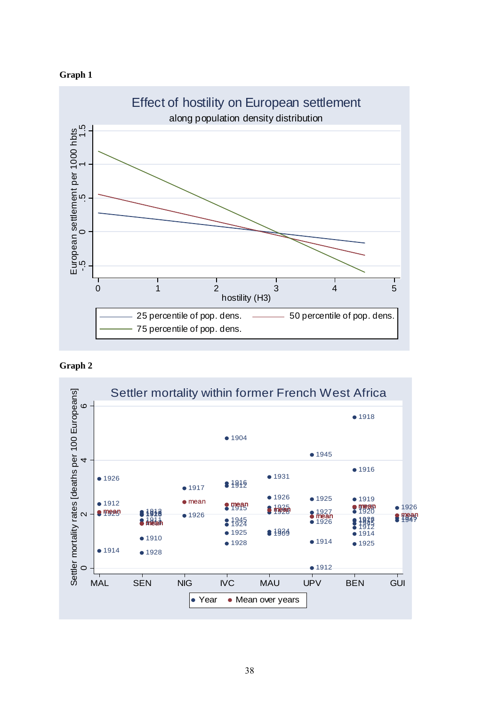





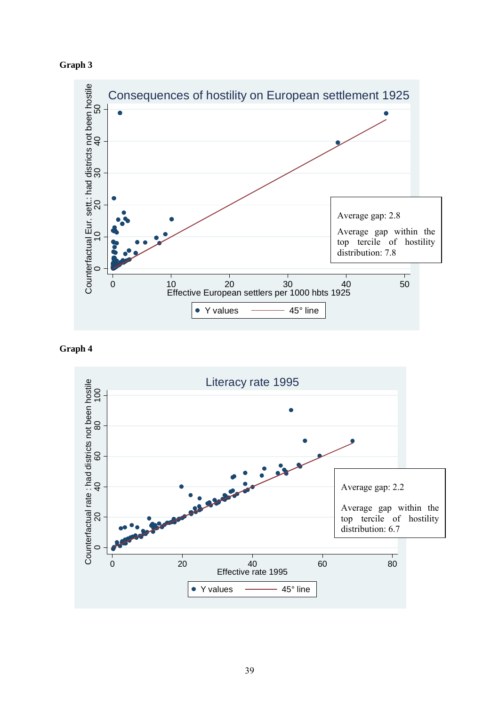





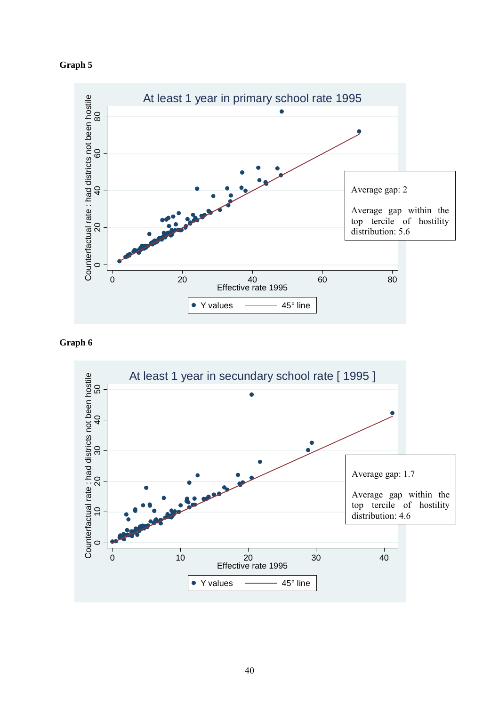



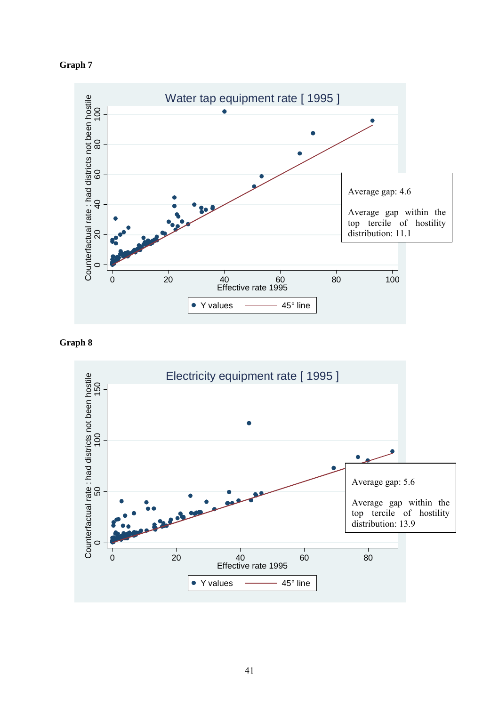





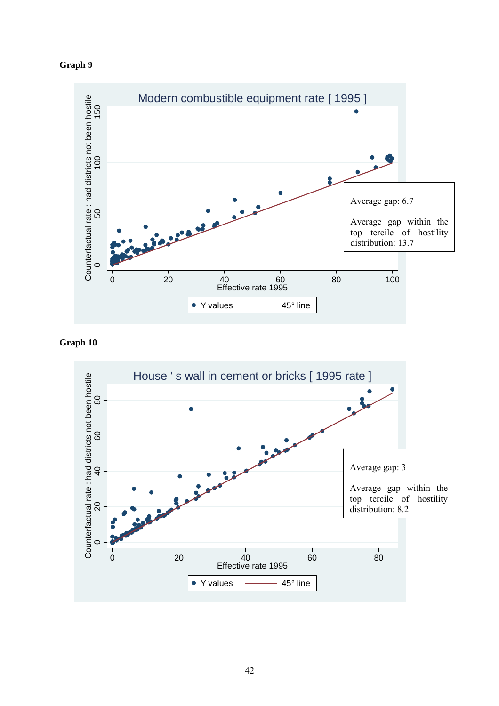



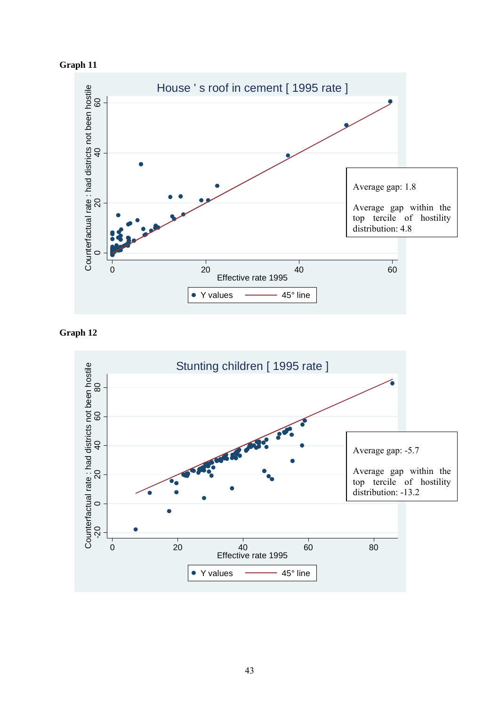



**Graph 12** 

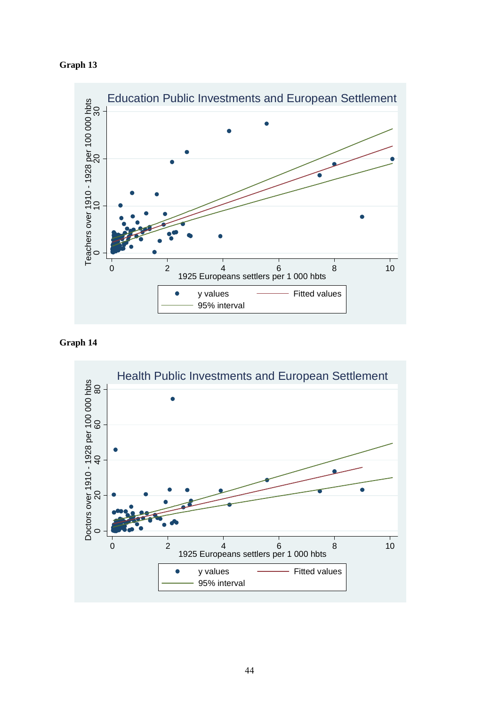

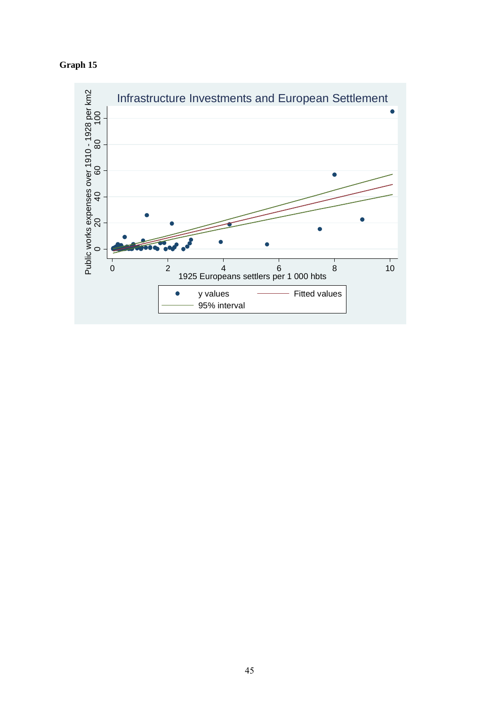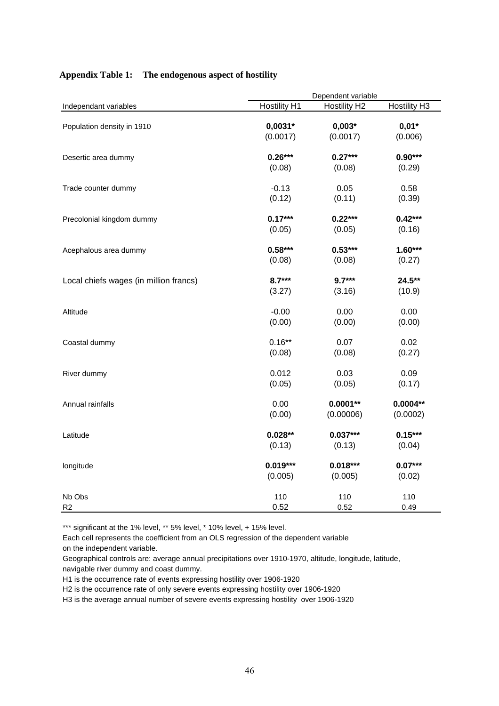|                                        | Dependent variable  |                     |                     |  |  |
|----------------------------------------|---------------------|---------------------|---------------------|--|--|
| Independant variables                  | <b>Hostility H1</b> | <b>Hostility H2</b> | <b>Hostility H3</b> |  |  |
| Population density in 1910             | $0,0031*$           | $0,003*$            | $0,01*$             |  |  |
|                                        | (0.0017)            | (0.0017)            | (0.006)             |  |  |
| Desertic area dummy                    | $0.26***$           | $0.27***$           | $0.90***$           |  |  |
|                                        | (0.08)              | (0.08)              | (0.29)              |  |  |
| Trade counter dummy                    | $-0.13$             | 0.05                | 0.58                |  |  |
|                                        | (0.12)              | (0.11)              | (0.39)              |  |  |
| Precolonial kingdom dummy              | $0.17***$           | $0.22***$           | $0.42***$           |  |  |
|                                        | (0.05)              | (0.05)              | (0.16)              |  |  |
| Acephalous area dummy                  | $0.58***$           | $0.53***$           | $1.60***$           |  |  |
|                                        | (0.08)              | (0.08)              | (0.27)              |  |  |
| Local chiefs wages (in million francs) | $8.7***$            | $9.7***$            | 24.5**              |  |  |
|                                        | (3.27)              | (3.16)              | (10.9)              |  |  |
| Altitude                               | $-0.00$             | 0.00                | 0.00                |  |  |
|                                        | (0.00)              | (0.00)              | (0.00)              |  |  |
| Coastal dummy                          | $0.16***$           | 0.07                | 0.02                |  |  |
|                                        | (0.08)              | (0.08)              | (0.27)              |  |  |
| River dummy                            | 0.012               | 0.03                | 0.09                |  |  |
|                                        | (0.05)              | (0.05)              | (0.17)              |  |  |
| Annual rainfalls                       | 0.00                | $0.0001**$          | $0.0004**$          |  |  |
|                                        | (0.00)              | (0.00006)           | (0.0002)            |  |  |
| Latitude                               | $0.028**$           | $0.037***$          | $0.15***$           |  |  |
|                                        | (0.13)              | (0.13)              | (0.04)              |  |  |
| longitude                              | $0.019***$          | $0.018***$          | $0.07***$           |  |  |
|                                        | (0.005)             | (0.005)             | (0.02)              |  |  |
| Nb Obs                                 | 110                 | 110                 | 110                 |  |  |
| R <sub>2</sub>                         | 0.52                | 0.52                | 0.49                |  |  |

#### **Appendix Table 1: The endogenous aspect of hostility**

\*\*\* significant at the 1% level, \*\* 5% level, \* 10% level, + 15% level.

Each cell represents the coefficient from an OLS regression of the dependent variable on the independent variable.

Geographical controls are: average annual precipitations over 1910-1970, altitude, longitude, latitude, navigable river dummy and coast dummy.

H1 is the occurrence rate of events expressing hostility over 1906-1920

H2 is the occurrence rate of only severe events expressing hostility over 1906-1920

H3 is the average annual number of severe events expressing hostility over 1906-1920